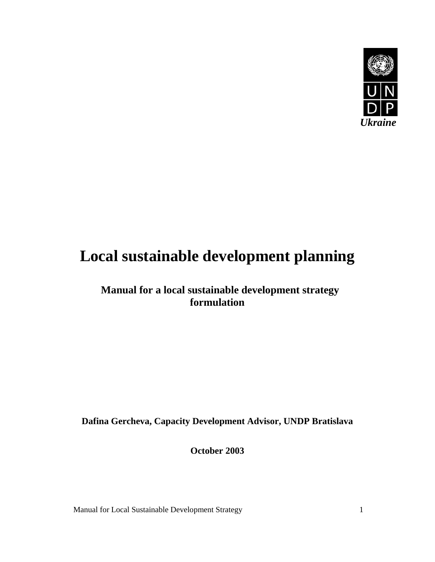

# **Local sustainable development planning**

 **Manual for a local sustainable development strategy formulation** 

**Dafina Gercheva, Capacity Development Advisor, UNDP Bratislava** 

**October 2003**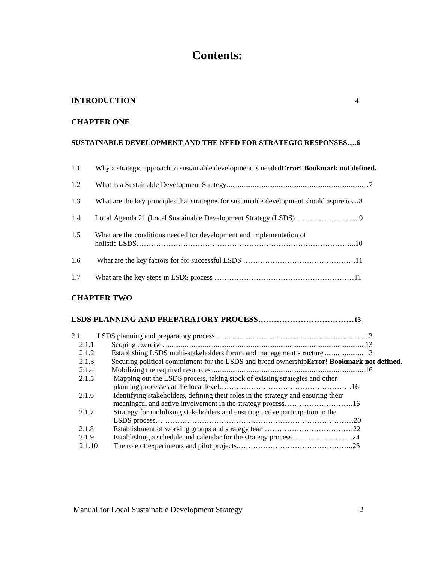# **Contents:**

#### **INTRODUCTION 4**

# **CHAPTER ONE**

# **SUSTAINABLE DEVELOPMENT AND THE NEED FOR STRATEGIC RESPONSES….6**

| 1.1 | Why a strategic approach to sustainable development is needed <b>Error! Bookmark not defined.</b> |
|-----|---------------------------------------------------------------------------------------------------|
| 1.2 |                                                                                                   |
| 1.3 | What are the key principles that strategies for sustainable development should aspire to8         |
| 1.4 |                                                                                                   |
| 1.5 | What are the conditions needed for development and implementation of                              |
| 1.6 |                                                                                                   |
| 1.7 |                                                                                                   |

# **CHAPTER TWO**

# **LSDS PLANNING AND PREPARATORY PROCESS………………………………13**

| 2.1    |                                                                                             |  |
|--------|---------------------------------------------------------------------------------------------|--|
| 2.1.1  |                                                                                             |  |
| 2.1.2  | Establishing LSDS multi-stakeholders forum and management structure  13                     |  |
| 2.1.3  | Securing political commitment for the LSDS and broad ownership Error! Bookmark not defined. |  |
| 2.1.4  |                                                                                             |  |
| 2.1.5  | Mapping out the LSDS process, taking stock of existing strategies and other                 |  |
|        |                                                                                             |  |
| 2.1.6  | Identifying stakeholders, defining their roles in the strategy and ensuring their           |  |
|        |                                                                                             |  |
| 2.1.7  | Strategy for mobilising stakeholders and ensuring active participation in the               |  |
|        |                                                                                             |  |
| 2.1.8  |                                                                                             |  |
| 2.1.9  | Establishing a schedule and calendar for the strategy process 24                            |  |
| 2.1.10 |                                                                                             |  |
|        |                                                                                             |  |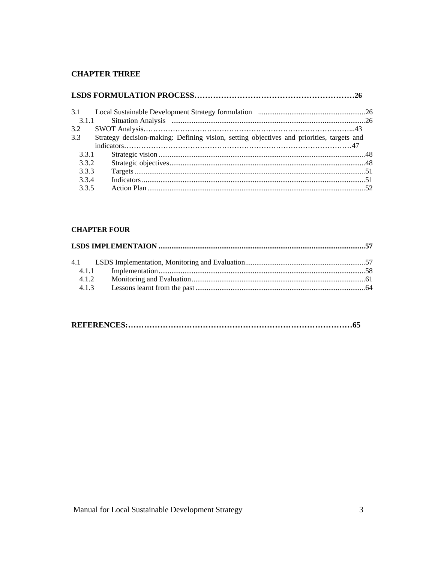# **CHAPTER THREE**

| 3.1.1<br>3.2<br>Strategy decision-making: Defining vision, setting objectives and priorities, targets and<br>3.3 |  |
|------------------------------------------------------------------------------------------------------------------|--|
|                                                                                                                  |  |
|                                                                                                                  |  |
|                                                                                                                  |  |
|                                                                                                                  |  |
|                                                                                                                  |  |
| 3.3.1                                                                                                            |  |
| 3.3.2                                                                                                            |  |
| 3.3.3                                                                                                            |  |
| 3.3.4                                                                                                            |  |
| 3.3.5                                                                                                            |  |

# **CHAPTER FOUR**

|--|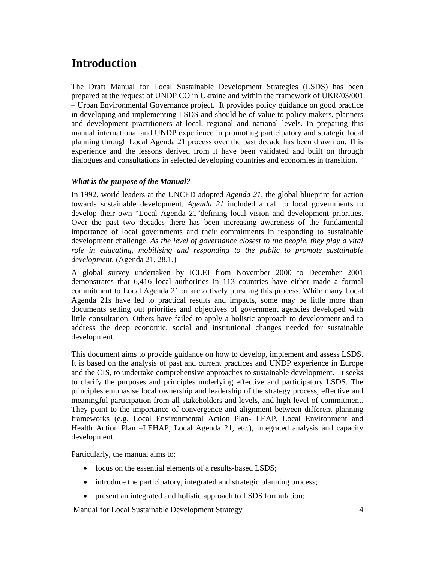# **Introduction**

The Draft Manual for Local Sustainable Development Strategies (LSDS) has been prepared at the request of UNDP CO in Ukraine and within the framework of UKR/03/001 – Urban Environmental Governance project. It provides policy guidance on good practice in developing and implementing LSDS and should be of value to policy makers, planners and development practitioners at local, regional and national levels. In preparing this manual international and UNDP experience in promoting participatory and strategic local planning through Local Agenda 21 process over the past decade has been drawn on. This experience and the lessons derived from it have been validated and built on through dialogues and consultations in selected developing countries and economies in transition.

# *What is the purpose of the Manual?*

In 1992, world leaders at the UNCED adopted *Agenda 21*, the global blueprint for action towards sustainable development. *Agenda 21* included a call to local governments to develop their own "Local Agenda 21"defining local vision and development priorities. Over the past two decades there has been increasing awareness of the fundamental importance of local governments and their commitments in responding to sustainable development challenge. *As the level of governance closest to the people, they play a vital role in educating, mobilising and responding to the public to promote sustainable development.* (Agenda 21, 28.1.)

A global survey undertaken by ICLEI from November 2000 to December 2001 demonstrates that 6,416 local authorities in 113 countries have either made a formal commitment to Local Agenda 21 or are actively pursuing this process. While many Local Agenda 21s have led to practical results and impacts, some may be little more than documents setting out priorities and objectives of government agencies developed with little consultation. Others have failed to apply a holistic approach to development and to address the deep economic, social and institutional changes needed for sustainable development.

This document aims to provide guidance on how to develop, implement and assess LSDS. It is based on the analysis of past and current practices and UNDP experience in Europe and the CIS, to undertake comprehensive approaches to sustainable development. It seeks to clarify the purposes and principles underlying effective and participatory LSDS. The principles emphasise local ownership and leadership of the strategy process, effective and meaningful participation from all stakeholders and levels, and high-level of commitment. They point to the importance of convergence and alignment between different planning frameworks (e.g. Local Environmental Action Plan- LEAP, Local Environment and Health Action Plan –LEHAP, Local Agenda 21, etc.), integrated analysis and capacity development.

Particularly, the manual aims to:

- focus on the essential elements of a results-based LSDS;
- introduce the participatory, integrated and strategic planning process;
- present an integrated and holistic approach to LSDS formulation;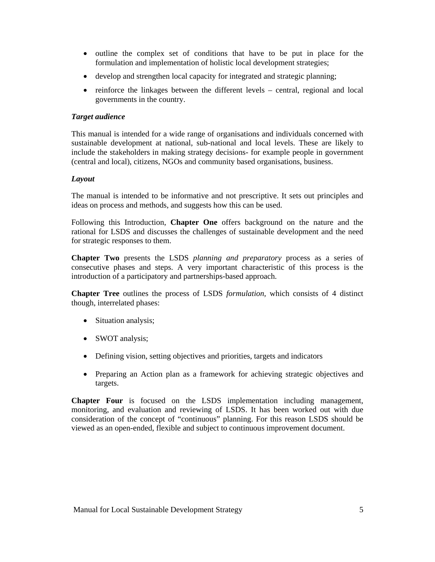- outline the complex set of conditions that have to be put in place for the formulation and implementation of holistic local development strategies;
- develop and strengthen local capacity for integrated and strategic planning;
- reinforce the linkages between the different levels central, regional and local governments in the country.

#### *Target audience*

This manual is intended for a wide range of organisations and individuals concerned with sustainable development at national, sub-national and local levels. These are likely to include the stakeholders in making strategy decisions- for example people in government (central and local), citizens, NGOs and community based organisations, business.

#### *Layout*

The manual is intended to be informative and not prescriptive. It sets out principles and ideas on process and methods, and suggests how this can be used.

Following this Introduction, **Chapter One** offers background on the nature and the rational for LSDS and discusses the challenges of sustainable development and the need for strategic responses to them.

**Chapter Two** presents the LSDS *planning and preparatory* process as a series of consecutive phases and steps. A very important characteristic of this process is the introduction of a participatory and partnerships-based approach.

**Chapter Tree** outlines the process of LSDS *formulation,* which consists of 4 distinct though, interrelated phases:

- Situation analysis;
- SWOT analysis;
- Defining vision, setting objectives and priorities, targets and indicators
- Preparing an Action plan as a framework for achieving strategic objectives and targets.

**Chapter Four** is focused on the LSDS implementation including management, monitoring, and evaluation and reviewing of LSDS. It has been worked out with due consideration of the concept of "continuous" planning. For this reason LSDS should be viewed as an open-ended, flexible and subject to continuous improvement document.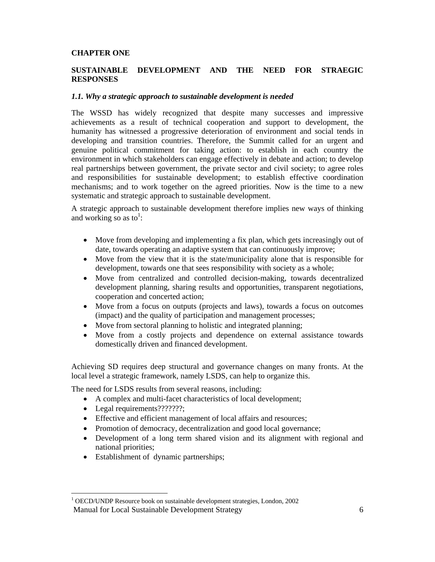#### **CHAPTER ONE**

# **SUSTAINABLE DEVELOPMENT AND THE NEED FOR STRAEGIC RESPONSES**

#### *1.1. Why a strategic approach to sustainable development is needed*

The WSSD has widely recognized that despite many successes and impressive achievements as a result of technical cooperation and support to development, the humanity has witnessed a progressive deterioration of environment and social tends in developing and transition countries. Therefore, the Summit called for an urgent and genuine political commitment for taking action: to establish in each country the environment in which stakeholders can engage effectively in debate and action; to develop real partnerships between government, the private sector and civil society; to agree roles and responsibilities for sustainable development; to establish effective coordination mechanisms; and to work together on the agreed priorities. Now is the time to a new systematic and strategic approach to sustainable development.

A strategic approach to sustainable development therefore implies new ways of thinking and working so as to<sup>1</sup>:

- Move from developing and implementing a fix plan, which gets increasingly out of date, towards operating an adaptive system that can continuously improve;
- Move from the view that it is the state/municipality alone that is responsible for development, towards one that sees responsibility with society as a whole;
- Move from centralized and controlled decision-making, towards decentralized development planning, sharing results and opportunities, transparent negotiations, cooperation and concerted action;
- Move from a focus on outputs (projects and laws), towards a focus on outcomes (impact) and the quality of participation and management processes;
- Move from sectoral planning to holistic and integrated planning;
- Move from a costly projects and dependence on external assistance towards domestically driven and financed development.

Achieving SD requires deep structural and governance changes on many fronts. At the local level a strategic framework, namely LSDS, can help to organize this.

The need for LSDS results from several reasons, including:

- A complex and multi-facet characteristics of local development;
- Legal requirements???????;

-

- Effective and efficient management of local affairs and resources;
- Promotion of democracy, decentralization and good local governance;
- Development of a long term shared vision and its alignment with regional and national priorities;
- Establishment of dynamic partnerships;

Manual for Local Sustainable Development Strategy 6 <sup>1</sup> OECD/UNDP Resource book on sustainable development strategies, London, 2002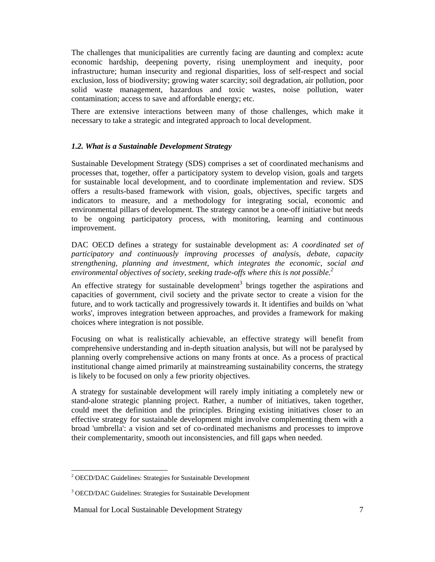The challenges that municipalities are currently facing are daunting and complex**:** acute economic hardship, deepening poverty, rising unemployment and inequity, poor infrastructure; human insecurity and regional disparities, loss of self-respect and social exclusion, loss of biodiversity; growing water scarcity; soil degradation, air pollution, poor solid waste management, hazardous and toxic wastes, noise pollution, water contamination; access to save and affordable energy; etc.

There are extensive interactions between many of those challenges, which make it necessary to take a strategic and integrated approach to local development.

# *1.2. What is a Sustainable Development Strategy*

Sustainable Development Strategy (SDS) comprises a set of coordinated mechanisms and processes that, together, offer a participatory system to develop vision, goals and targets for sustainable local development, and to coordinate implementation and review. SDS offers a results-based framework with vision, goals, objectives, specific targets and indicators to measure, and a methodology for integrating social, economic and environmental pillars of development. The strategy cannot be a one-off initiative but needs to be ongoing participatory process, with monitoring, learning and continuous improvement.

DAC OECD defines a strategy for sustainable development as: *A coordinated set of participatory and continuously improving processes of analysis, debate, capacity strengthening, planning and investment, which integrates the economic, social and environmental objectives of society, seeking trade-offs where this is not possible.2*

An effective strategy for sustainable development<sup>3</sup> brings together the aspirations and capacities of government, civil society and the private sector to create a vision for the future, and to work tactically and progressively towards it. It identifies and builds on 'what works', improves integration between approaches, and provides a framework for making choices where integration is not possible.

Focusing on what is realistically achievable, an effective strategy will benefit from comprehensive understanding and in-depth situation analysis, but will not be paralysed by planning overly comprehensive actions on many fronts at once. As a process of practical institutional change aimed primarily at mainstreaming sustainability concerns, the strategy is likely to be focused on only a few priority objectives.

A strategy for sustainable development will rarely imply initiating a completely new or stand-alone strategic planning project. Rather, a number of initiatives, taken together, could meet the definition and the principles. Bringing existing initiatives closer to an effective strategy for sustainable development might involve complementing them with a broad 'umbrella': a vision and set of co-ordinated mechanisms and processes to improve their complementarity, smooth out inconsistencies, and fill gaps when needed.

 $\overline{\phantom{a}}$ <sup>2</sup> OECD/DAC Guidelines: Strategies for Sustainable Development

<sup>&</sup>lt;sup>3</sup> OECD/DAC Guidelines: Strategies for Sustainable Development

Manual for Local Sustainable Development Strategy 7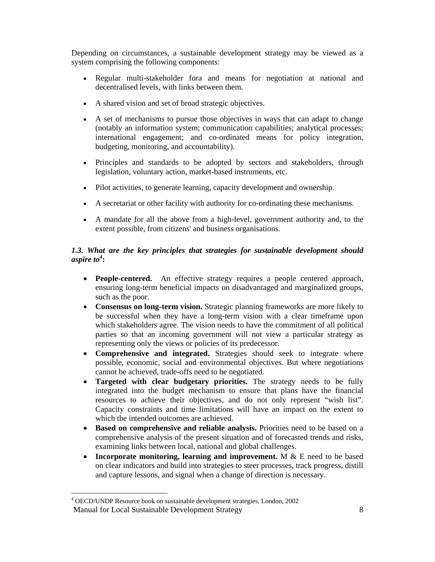Depending on circumstances, a sustainable development strategy may be viewed as a system comprising the following components:

- Regular multi-stakeholder fora and means for negotiation at national and decentralised levels, with links between them.
- A shared vision and set of broad strategic objectives.
- A set of mechanisms to pursue those objectives in ways that can adapt to change (notably an information system; communication capabilities; analytical processes; international engagement; and co-ordinated means for policy integration, budgeting, monitoring, and accountability).
- Principles and standards to be adopted by sectors and stakeholders, through legislation, voluntary action, market-based instruments, etc.
- Pilot activities, to generate learning, capacity development and ownership.
- A secretariat or other facility with authority for co-ordinating these mechanisms.
- A mandate for all the above from a high-level, government authority and, to the extent possible, from citizens' and business organisations.

# *1.3. What are the key principles that strategies for sustainable development should aspire to<sup>4</sup>* **:**

- **People-centered.** An effective strategy requires a people centered approach, ensuring long-term beneficial impacts on disadvantaged and marginalized groups, such as the poor.
- **Consensus on long-term vision.** Strategic planning frameworks are more likely to be successful when they have a long-term vision with a clear timeframe upon which stakeholders agree. The vision needs to have the commitment of all political parties so that an incoming government will not view a particular strategy as representing only the views or policies of its predecessor.
- **Comprehensive and integrated.** Strategies should seek to integrate where possible, economic, social and environmental objectives. But where negotiations cannot be achieved, trade-offs need to be negotiated.
- **Targeted with clear budgetary priorities.** The strategy needs to be fully integrated into the budget mechanism to ensure that plans have the financial resources to achieve their objectives, and do not only represent "wish list". Capacity constraints and time limitations will have an impact on the extent to which the intended outcomes are achieved.
- **Based on comprehensive and reliable analysis.** Priorities need to be based on a comprehensive analysis of the present situation and of forecasted trends and risks, examining links between local, national and global challenges.
- **Incorporate monitoring, learning and improvement.** M  $\&$  E need to be based on clear indicators and build into strategies to steer processes, track progress, distill and capture lessons, and signal when a change of direction is necessary.

-

Manual for Local Sustainable Development Strategy 8 4 OECD/UNDP Resource book on sustainable development strategies, London, 2002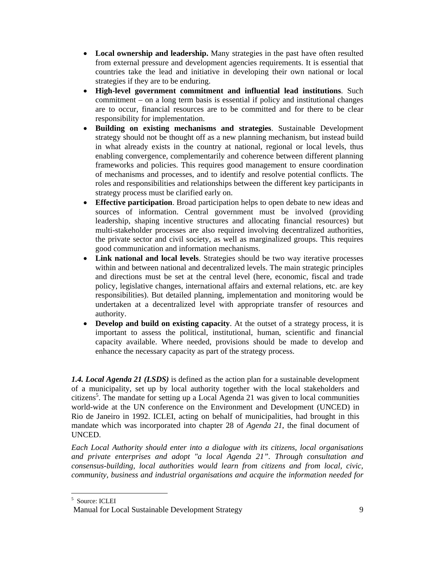- **Local ownership and leadership.** Many strategies in the past have often resulted from external pressure and development agencies requirements. It is essential that countries take the lead and initiative in developing their own national or local strategies if they are to be enduring.
- **High-level government commitment and influential lead institutions**. Such commitment – on a long term basis is essential if policy and institutional changes are to occur, financial resources are to be committed and for there to be clear responsibility for implementation.
- **Building on existing mechanisms and strategies**. Sustainable Development strategy should not be thought off as a new planning mechanism, but instead build in what already exists in the country at national, regional or local levels, thus enabling convergence, complementarily and coherence between different planning frameworks and policies. This requires good management to ensure coordination of mechanisms and processes, and to identify and resolve potential conflicts. The roles and responsibilities and relationships between the different key participants in strategy process must be clarified early on.
- **Effective participation**. Broad participation helps to open debate to new ideas and sources of information. Central government must be involved (providing leadership, shaping incentive structures and allocating financial resources) but multi-stakeholder processes are also required involving decentralized authorities, the private sector and civil society, as well as marginalized groups. This requires good communication and information mechanisms.
- **Link national and local levels**. Strategies should be two way iterative processes within and between national and decentralized levels. The main strategic principles and directions must be set at the central level (here, economic, fiscal and trade policy, legislative changes, international affairs and external relations, etc. are key responsibilities). But detailed planning, implementation and monitoring would be undertaken at a decentralized level with appropriate transfer of resources and authority.
- **Develop and build on existing capacity**. At the outset of a strategy process, it is important to assess the political, institutional, human, scientific and financial capacity available. Where needed, provisions should be made to develop and enhance the necessary capacity as part of the strategy process.

*1.4. Local Agenda 21 (LSDS)* is defined as the action plan for a sustainable development of a municipality, set up by local authority together with the local stakeholders and citizens<sup>5</sup>. The mandate for setting up a Local Agenda 21 was given to local communities world-wide at the UN conference on the Environment and Development (UNCED) in Rio de Janeiro in 1992. ICLEI, acting on behalf of municipalities, had brought in this mandate which was incorporated into chapter 28 of *Agenda 21*, the final document of UNCED.

*Each Local Authority should enter into a dialogue with its citizens, local organisations and private enterprises and adopt "a local Agenda 21". Through consultation and consensus-building, local authorities would learn from citizens and from local, civic, community, business and industrial organisations and acquire the information needed for* 

-

<sup>5</sup> Source: ICLEI

Manual for Local Sustainable Development Strategy 9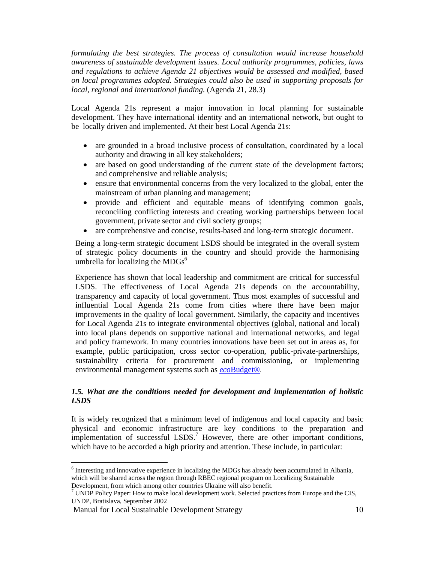*formulating the best strategies. The process of consultation would increase household awareness of sustainable development issues. Local authority programmes, policies, laws and regulations to achieve Agenda 21 objectives would be assessed and modified, based on local programmes adopted. Strategies could also be used in supporting proposals for local, regional and international funding.* (Agenda 21, 28.3)

Local Agenda 21s represent a major innovation in local planning for sustainable development. They have international identity and an international network, but ought to be locally driven and implemented. At their best Local Agenda 21s:

- are grounded in a broad inclusive process of consultation, coordinated by a local authority and drawing in all key stakeholders;
- are based on good understanding of the current state of the development factors; and comprehensive and reliable analysis;
- ensure that environmental concerns from the very localized to the global, enter the mainstream of urban planning and management;
- provide and efficient and equitable means of identifying common goals, reconciling conflicting interests and creating working partnerships between local government, private sector and civil society groups;
- are comprehensive and concise, results-based and long-term strategic document.

Being a long-term strategic document LSDS should be integrated in the overall system of strategic policy documents in the country and should provide the harmonising umbrella for localizing the  $MDGs<sup>6</sup>$ 

Experience has shown that local leadership and commitment are critical for successful LSDS. The effectiveness of Local Agenda 21s depends on the accountability, transparency and capacity of local government. Thus most examples of successful and influential Local Agenda 21s come from cities where there have been major improvements in the quality of local government. Similarly, the capacity and incentives for Local Agenda 21s to integrate environmental objectives (global, national and local) into local plans depends on supportive national and international networks, and legal and policy framework. In many countries innovations have been set out in areas as, for example, public participation, cross sector co-operation, public-private-partnerships, sustainability criteria for procurement and commissioning, or implementing environmental management systems such as *eco*Budget®.

# *1.5. What are the conditions needed for development and implementation of holistic LSDS*

It is widely recognized that a minimum level of indigenous and local capacity and basic physical and economic infrastructure are key conditions to the preparation and implementation of successful  $LSDS$ .<sup>7</sup> However, there are other important conditions, which have to be accorded a high priority and attention. These include, in particular:

 $\overline{\phantom{a}}$ 

 $6$  Interesting and innovative experience in localizing the MDGs has already been accumulated in Albania, which will be shared across the region through RBEC regional program on Localizing Sustainable Development, from which among other countries Ukraine will also benefit.

 $7$  UNDP Policy Paper: How to make local development work. Selected practices from Europe and the CIS,

UNDP, Bratislava, September 2002

Manual for Local Sustainable Development Strategy 10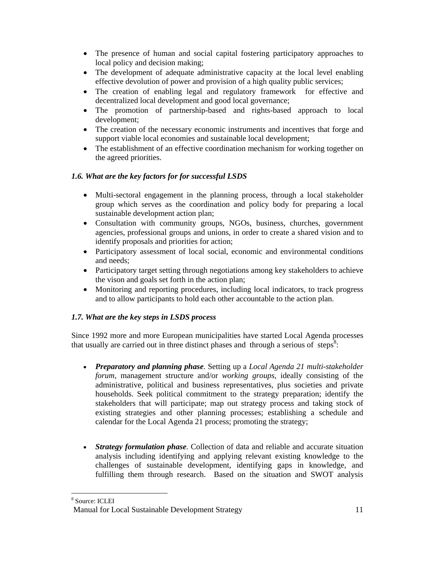- The presence of human and social capital fostering participatory approaches to local policy and decision making;
- The development of adequate administrative capacity at the local level enabling effective devolution of power and provision of a high quality public services;
- The creation of enabling legal and regulatory framework for effective and decentralized local development and good local governance;
- The promotion of partnership-based and rights-based approach to local development;
- The creation of the necessary economic instruments and incentives that forge and support viable local economies and sustainable local development;
- The establishment of an effective coordination mechanism for working together on the agreed priorities.

# *1.6. What are the key factors for for successful LSDS*

- Multi-sectoral engagement in the planning process, through a local stakeholder group which serves as the coordination and policy body for preparing a local sustainable development action plan;
- Consultation with community groups, NGOs, business, churches, government agencies, professional groups and unions, in order to create a shared vision and to identify proposals and priorities for action;
- Participatory assessment of local social, economic and environmental conditions and needs;
- Participatory target setting through negotiations among key stakeholders to achieve the vison and goals set forth in the action plan;
- Monitoring and reporting procedures, including local indicators, to track progress and to allow participants to hold each other accountable to the action plan.

# *1.7. What are the key steps in LSDS process*

Since 1992 more and more European municipalities have started Local Agenda processes that usually are carried out in three distinct phases and through a serious of steps<sup>8</sup>:

- *Preparatory and planning phase*. Setting up a *Local Agenda 21 multi-stakeholder forum,* management structure and/or *working groups*, ideally consisting of the administrative, political and business representatives, plus societies and private households. Seek political commitment to the strategy preparation; identify the stakeholders that will participate; map out strategy process and taking stock of existing strategies and other planning processes; establishing a schedule and calendar for the Local Agenda 21 process; promoting the strategy;
- *Strategy formulation phase*. Collection of data and reliable and accurate situation analysis including identifying and applying relevant existing knowledge to the challenges of sustainable development, identifying gaps in knowledge, and fulfilling them through research. Based on the situation and SWOT analysis

-8 Source: ICLEI

Manual for Local Sustainable Development Strategy 11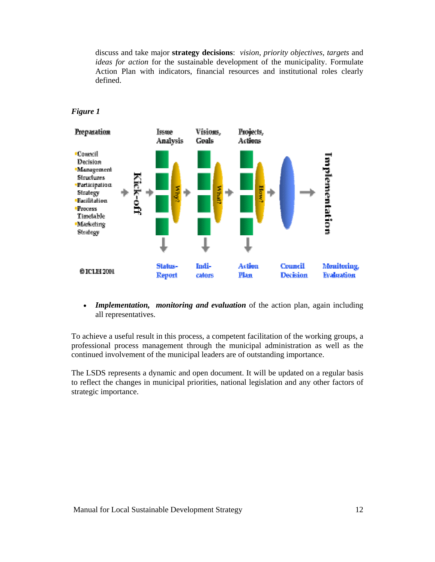discuss and take major **strategy decisions**: *vision*, *priority objectives, targets* and *ideas for action* for the sustainable development of the municipality. Formulate Action Plan with indicators, financial resources and institutional roles clearly defined.



#### *Figure 1*

• *Implementation, monitoring and evaluation* of the action plan, again including all representatives.

To achieve a useful result in this process, a competent facilitation of the working groups, a professional process management through the municipal administration as well as the continued involvement of the municipal leaders are of outstanding importance.

The LSDS represents a dynamic and open document. It will be updated on a regular basis to reflect the changes in municipal priorities, national legislation and any other factors of strategic importance.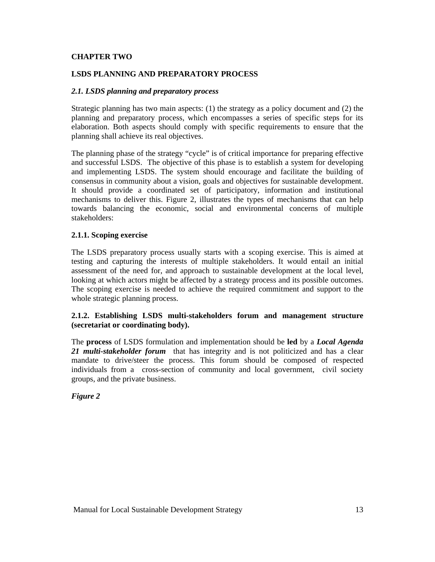# **CHAPTER TWO**

#### **LSDS PLANNING AND PREPARATORY PROCESS**

#### *2.1. LSDS planning and preparatory process*

Strategic planning has two main aspects: (1) the strategy as a policy document and (2) the planning and preparatory process, which encompasses a series of specific steps for its elaboration. Both aspects should comply with specific requirements to ensure that the planning shall achieve its real objectives.

The planning phase of the strategy "cycle" is of critical importance for preparing effective and successful LSDS. The objective of this phase is to establish a system for developing and implementing LSDS. The system should encourage and facilitate the building of consensus in community about a vision, goals and objectives for sustainable development. It should provide a coordinated set of participatory, information and institutional mechanisms to deliver this. Figure 2, illustrates the types of mechanisms that can help towards balancing the economic, social and environmental concerns of multiple stakeholders:

#### **2.1.1. Scoping exercise**

The LSDS preparatory process usually starts with a scoping exercise. This is aimed at testing and capturing the interests of multiple stakeholders. It would entail an initial assessment of the need for, and approach to sustainable development at the local level, looking at which actors might be affected by a strategy process and its possible outcomes. The scoping exercise is needed to achieve the required commitment and support to the whole strategic planning process.

#### **2.1.2. Establishing LSDS multi-stakeholders forum and management structure (secretariat or coordinating body).**

The **process** of LSDS formulation and implementation should be **led** by a *Local Agenda 21 multi-stakeholder forum* that has integrity and is not politicized and has a clear mandate to drive/steer the process. This forum should be composed of respected individuals from a cross-section of community and local government, civil society groups, and the private business.

*Figure 2*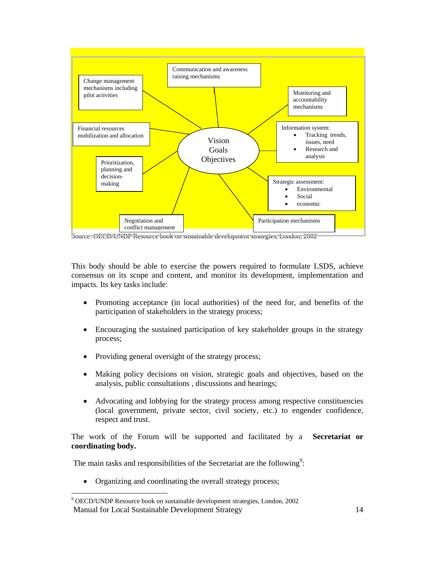

Source: OECD/UNDP Resource book on sustainable development strategies, London, 2002

This body should be able to exercise the powers required to formulate LSDS, achieve consensus on its scope and content, and monitor its development, implementation and impacts. Its key tasks include:

- Promoting acceptance (in local authorities) of the need for, and benefits of the participation of stakeholders in the strategy process;
- Encouraging the sustained participation of key stakeholder groups in the strategy process;
- Providing general oversight of the strategy process;
- Making policy decisions on vision, strategic goals and objectives, based on the analysis, public consultations , discussions and hearings;
- Advocating and lobbying for the strategy process among respective constituencies (local government, private sector, civil society, etc.) to engender confidence, respect and trust.

The work of the Forum will be supported and facilitated by a **Secretariat or coordinating body.** 

The main tasks and responsibilities of the Secretariat are the following<sup>9</sup>:

• Organizing and coordinating the overall strategy process;

Manual for Local Sustainable Development Strategy 14  $\overline{a}$ 9 OECD/UNDP Resource book on sustainable development strategies, London, 2002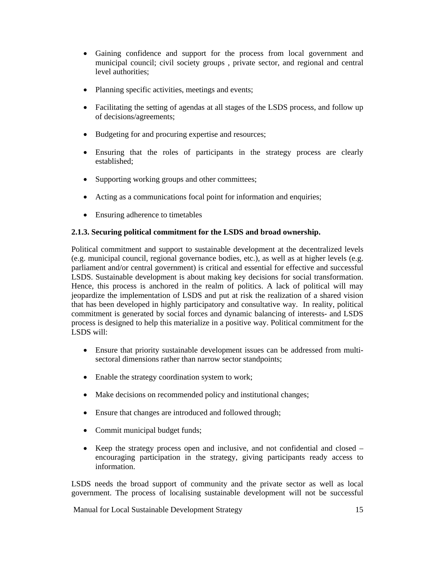- Gaining confidence and support for the process from local government and municipal council; civil society groups , private sector, and regional and central level authorities;
- Planning specific activities, meetings and events;
- Facilitating the setting of agendas at all stages of the LSDS process, and follow up of decisions/agreements;
- Budgeting for and procuring expertise and resources;
- Ensuring that the roles of participants in the strategy process are clearly established;
- Supporting working groups and other committees;
- Acting as a communications focal point for information and enquiries;
- Ensuring adherence to timetables

# **2.1.3. Securing political commitment for the LSDS and broad ownership.**

Political commitment and support to sustainable development at the decentralized levels (e.g. municipal council, regional governance bodies, etc.), as well as at higher levels (e.g. parliament and/or central government) is critical and essential for effective and successful LSDS. Sustainable development is about making key decisions for social transformation. Hence, this process is anchored in the realm of politics. A lack of political will may jeopardize the implementation of LSDS and put at risk the realization of a shared vision that has been developed in highly participatory and consultative way. In reality, political commitment is generated by social forces and dynamic balancing of interests- and LSDS process is designed to help this materialize in a positive way. Political commitment for the LSDS will:

- Ensure that priority sustainable development issues can be addressed from multisectoral dimensions rather than narrow sector standpoints;
- Enable the strategy coordination system to work;
- Make decisions on recommended policy and institutional changes;
- Ensure that changes are introduced and followed through;
- Commit municipal budget funds;
- Keep the strategy process open and inclusive, and not confidential and closed encouraging participation in the strategy, giving participants ready access to information.

LSDS needs the broad support of community and the private sector as well as local government. The process of localising sustainable development will not be successful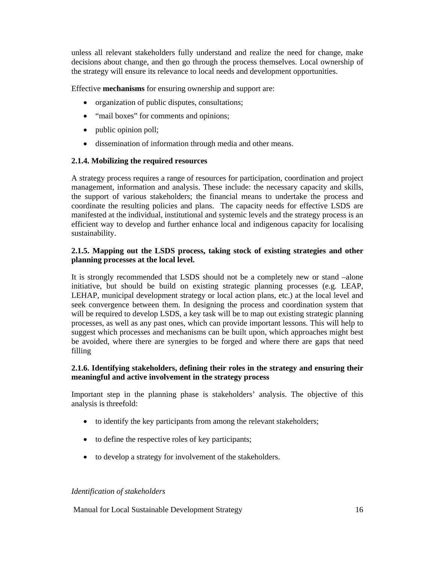unless all relevant stakeholders fully understand and realize the need for change, make decisions about change, and then go through the process themselves. Local ownership of the strategy will ensure its relevance to local needs and development opportunities.

Effective **mechanisms** for ensuring ownership and support are:

- organization of public disputes, consultations;
- "mail boxes" for comments and opinions;
- public opinion poll;
- dissemination of information through media and other means.

# **2.1.4. Mobilizing the required resources**

A strategy process requires a range of resources for participation, coordination and project management, information and analysis. These include: the necessary capacity and skills, the support of various stakeholders; the financial means to undertake the process and coordinate the resulting policies and plans. The capacity needs for effective LSDS are manifested at the individual, institutional and systemic levels and the strategy process is an efficient way to develop and further enhance local and indigenous capacity for localising sustainability.

# **2.1.5. Mapping out the LSDS process, taking stock of existing strategies and other planning processes at the local level.**

It is strongly recommended that LSDS should not be a completely new or stand –alone initiative, but should be build on existing strategic planning processes (e.g. LEAP, LEHAP, municipal development strategy or local action plans, etc.) at the local level and seek convergence between them. In designing the process and coordination system that will be required to develop LSDS, a key task will be to map out existing strategic planning processes, as well as any past ones, which can provide important lessons. This will help to suggest which processes and mechanisms can be built upon, which approaches might best be avoided, where there are synergies to be forged and where there are gaps that need filling

# **2.1.6. Identifying stakeholders, defining their roles in the strategy and ensuring their meaningful and active involvement in the strategy process**

Important step in the planning phase is stakeholders' analysis. The objective of this analysis is threefold:

- to identify the key participants from among the relevant stakeholders;
- to define the respective roles of key participants;
- to develop a strategy for involvement of the stakeholders.

#### *Identification of stakeholders*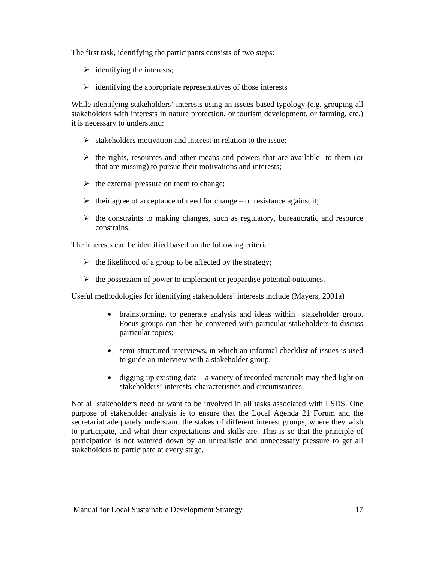The first task, identifying the participants consists of two steps:

- $\triangleright$  identifying the interests;
- $\triangleright$  identifying the appropriate representatives of those interests

While identifying stakeholders' interests using an issues-based typology (e.g. grouping all stakeholders with interests in nature protection, or tourism development, or farming, etc.) it is necessary to understand:

- $\triangleright$  stakeholders motivation and interest in relation to the issue;
- $\triangleright$  the rights, resources and other means and powers that are available to them (or that are missing) to pursue their motivations and interests;
- $\triangleright$  the external pressure on them to change;
- $\triangleright$  their agree of acceptance of need for change or resistance against it;
- $\triangleright$  the constraints to making changes, such as regulatory, bureaucratic and resource constrains.

The interests can be identified based on the following criteria:

- $\triangleright$  the likelihood of a group to be affected by the strategy;
- $\triangleright$  the possession of power to implement or jeopardise potential outcomes.

Useful methodologies for identifying stakeholders' interests include (Mayers, 2001a)

- brainstorming, to generate analysis and ideas within stakeholder group. Focus groups can then be convened with particular stakeholders to discuss particular topics;
- semi-structured interviews, in which an informal checklist of issues is used to guide an interview with a stakeholder group;
- digging up existing data a variety of recorded materials may shed light on stakeholders' interests, characteristics and circumstances.

Not all stakeholders need or want to be involved in all tasks associated with LSDS. One purpose of stakeholder analysis is to ensure that the Local Agenda 21 Forum and the secretariat adequately understand the stakes of different interest groups, where they wish to participate, and what their expectations and skills are. This is so that the principle of participation is not watered down by an unrealistic and unnecessary pressure to get all stakeholders to participate at every stage.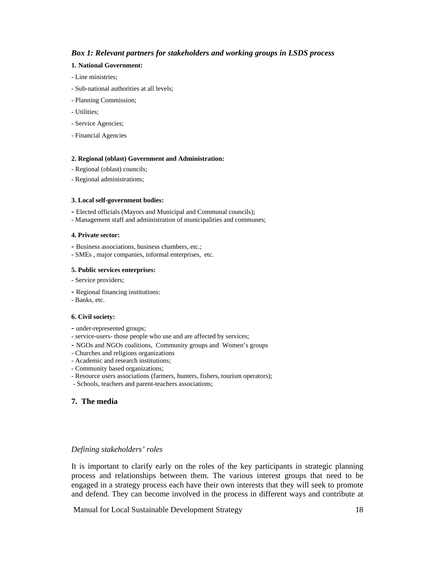#### *Box 1: Relevant partners for stakeholders and working groups in LSDS process*

#### **1. National Government:**

- Line ministries;
- Sub-national authorities at all levels;
- Planning Commission;
- Utilities;
- Service Agencies;
- Financial Agencies

#### **2. Regional (oblast) Government and Administration:**

- Regional (oblast) councils;
- Regional administrations;

#### **3. Local self-government bodies:**

- Elected officials (Mayors and Municipal and Communal councils);
- Management staff and administration of municipalities and communes;

#### **4. Private sector:**

- Business associations, business chambers, etc.;
- SMEs , major companies, informal enterprises, etc.

#### **5. Public services enterprises:**

- Service providers;
- Regional financing institutions:
- Banks, etc.

#### **6. Civil society:**

- under-represented groups;
- service-users- those people who use and are affected by services;
- NGOs and NGOs coalitions, Community groups and Women's groups
- Churches and religions organizations
- Academic and research institutions;
- Community based organizations;
- Resource users associations (farmers, hunters, fishers, tourism operators);
- Schools, teachers and parent-teachers associations;

#### **7. The media**

#### *Defining stakeholders' roles*

It is important to clarify early on the roles of the key participants in strategic planning process and relationships between them. The various interest groups that need to be engaged in a strategy process each have their own interests that they will seek to promote and defend. They can become involved in the process in different ways and contribute at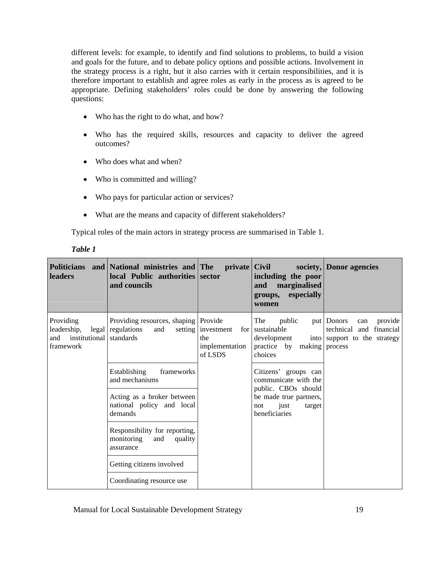different levels: for example, to identify and find solutions to problems, to build a vision and goals for the future, and to debate policy options and possible actions. Involvement in the strategy process is a right, but it also carries with it certain responsibilities, and it is therefore important to establish and agree roles as early in the process as is agreed to be appropriate. Defining stakeholders' roles could be done by answering the following questions:

- Who has the right to do what, and how?
- Who has the required skills, resources and capacity to deliver the agreed outcomes?
- Who does what and when?
- Who is committed and willing?
- Who pays for particular action or services?
- What are the means and capacity of different stakeholders?

Typical roles of the main actors in strategy process are summarised in Table 1.

| leaders                                                              | Politicians and National ministries and The private Civil<br>local Public authorities sector<br>and councils |                                                                 | including the poor<br>marginalised<br>and<br>especially<br>groups,<br>women  | society, Donor agencies                                                                               |
|----------------------------------------------------------------------|--------------------------------------------------------------------------------------------------------------|-----------------------------------------------------------------|------------------------------------------------------------------------------|-------------------------------------------------------------------------------------------------------|
| Providing<br>leadership,<br>and institutional standards<br>framework | Providing resources, shaping Provide<br>legal regulations<br>and                                             | setting investment<br>for  <br>the<br>implementation<br>of LSDS | The<br>public<br>sustainable<br>development<br>practice by making<br>choices | put Donors<br>provide<br>can<br>technical<br>and financial<br>into support to the strategy<br>process |
|                                                                      | frameworks<br><b>Establishing</b><br>and mechanisms                                                          |                                                                 | Citizens' groups can<br>communicate with the<br>public. CBOs should          |                                                                                                       |
|                                                                      | Acting as a broker between<br>national policy and local<br>demands                                           |                                                                 | be made true partners,<br>just<br>not<br>target<br>beneficiaries             |                                                                                                       |
|                                                                      | Responsibility for reporting,<br>monitoring<br>and<br>quality<br>assurance                                   |                                                                 |                                                                              |                                                                                                       |
|                                                                      | Getting citizens involved                                                                                    |                                                                 |                                                                              |                                                                                                       |
|                                                                      | Coordinating resource use                                                                                    |                                                                 |                                                                              |                                                                                                       |

*Table 1*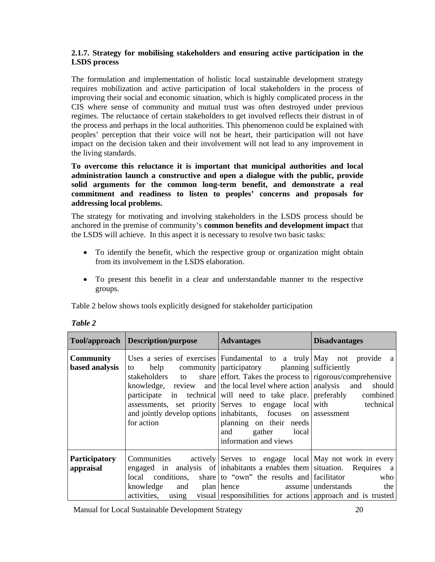# **2.1.7. Strategy for mobilising stakeholders and ensuring active participation in the LSDS process**

The formulation and implementation of holistic local sustainable development strategy requires mobilization and active participation of local stakeholders in the process of improving their social and economic situation, which is highly complicated process in the CIS where sense of community and mutual trust was often destroyed under previous regimes. The reluctance of certain stakeholders to get involved reflects their distrust in of the process and perhaps in the local authorities. This phenomenon could be explained with peoples' perception that their voice will not be heart, their participation will not have impact on the decision taken and their involvement will not lead to any improvement in the living standards.

**To overcome this reluctance it is important that municipal authorities and local administration launch a constructive and open a dialogue with the public, provide solid arguments for the common long-term benefit, and demonstrate a real commitment and readiness to listen to peoples' concerns and proposals for addressing local problems.** 

The strategy for motivating and involving stakeholders in the LSDS process should be anchored in the premise of community's **common benefits and development impact** that the LSDS will achieve. In this aspect it is necessary to resolve two basic tasks:

- To identify the benefit, which the respective group or organization might obtain from its involvement in the LSDS elaboration.
- To present this benefit in a clear and understandable manner to the respective groups.

Table 2 below shows tools explicitly designed for stakeholder participation

|                                    | <b>Tool/approach Description/purpose</b> | <b>Advantages</b>                                                                                                                                                                                                                                                                                                                                                                                                                                                                                                                                                                     | <b>Disadvantages</b> |
|------------------------------------|------------------------------------------|---------------------------------------------------------------------------------------------------------------------------------------------------------------------------------------------------------------------------------------------------------------------------------------------------------------------------------------------------------------------------------------------------------------------------------------------------------------------------------------------------------------------------------------------------------------------------------------|----------------------|
| <b>Community</b><br>based analysis | to<br>stakeholders to<br>for action      | Uses a series of exercises Fundamental to a truly $\begin{bmatrix} May & not & provide & a \end{bmatrix}$<br>help community participatory planning sufficiently<br>share effort. Takes the process to rigorous/comprehensive<br>knowledge, review and the local level where action analysis and<br>participate in technical will need to take place. preferably combined<br>assessments, set priority Serves to engage local with technical<br>and jointly develop options inhabitants, focuses on assessment<br>planning on their needs<br>and gather local<br>information and views | should               |
| <b>Participatory</b><br>appraisal  | knowledge<br>activities, using           | Communities actively Serves to engage local May not work in every<br>engaged in analysis of inhabitants a enables them situation. Requires a<br>local conditions, share to "own" the results and facilitator<br>and plan hence assume understands<br>visual responsibilities for actions approach and is trusted                                                                                                                                                                                                                                                                      | who<br>the           |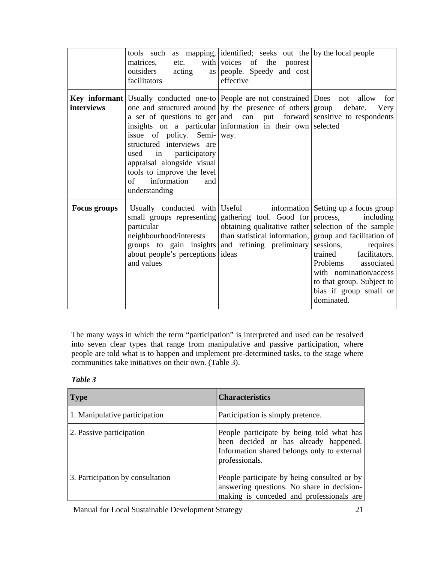|                     | matrices,<br>etc.<br>outsiders<br>acting<br>facilitators                                                                                                                                            | tools such as mapping, identified; seeks out the by the local people<br>with voices of the poorest<br>as people. Speedy and cost<br>effective                                                                                                                                               |                                                                                                                                                                                                                              |
|---------------------|-----------------------------------------------------------------------------------------------------------------------------------------------------------------------------------------------------|---------------------------------------------------------------------------------------------------------------------------------------------------------------------------------------------------------------------------------------------------------------------------------------------|------------------------------------------------------------------------------------------------------------------------------------------------------------------------------------------------------------------------------|
| interviews          | issue of policy. Semi- way.<br>structured interviews are<br>in participatory<br>used<br>appraisal alongside visual<br>tools to improve the level<br>information<br>$\sigma$<br>and<br>understanding | Key informant   Usually conducted one-to   People are not constrained   Does not allow<br>one and structured around by the presence of others group<br>a set of questions to get and can put forward sensitive to respondents<br>insights on a particular information in their own selected | for<br>debate.<br>Very                                                                                                                                                                                                       |
| <b>Focus groups</b> | Usually conducted with Useful<br>small groups representing<br>particular<br>neighbourhood/interests<br>groups to gain insights<br>about people's perceptions ideas<br>and values                    | gathering tool. Good for process,<br>obtaining qualitative rather selection of the sample<br>than statistical information, group and facilitation of<br>and refining preliminary                                                                                                            | information Setting up a focus group<br>including<br>sessions,<br>requires<br>facilitators.<br>trained<br>Problems associated<br>with nomination/access<br>to that group. Subject to<br>bias if group small or<br>dominated. |

The many ways in which the term "participation" is interpreted and used can be resolved into seven clear types that range from manipulative and passive participation, where people are told what is to happen and implement pre-determined tasks, to the stage where communities take initiatives on their own. (Table 3).

| anı |  |
|-----|--|
|-----|--|

| <b>Type</b>                      | <b>Characteristics</b>                                                                                                                              |
|----------------------------------|-----------------------------------------------------------------------------------------------------------------------------------------------------|
| 1. Manipulative participation    | Participation is simply pretence.                                                                                                                   |
| 2. Passive participation         | People participate by being told what has<br>been decided or has already happened.<br>Information shared belongs only to external<br>professionals. |
| 3. Participation by consultation | People participate by being consulted or by<br>answering questions. No share in decision-<br>making is conceded and professionals are               |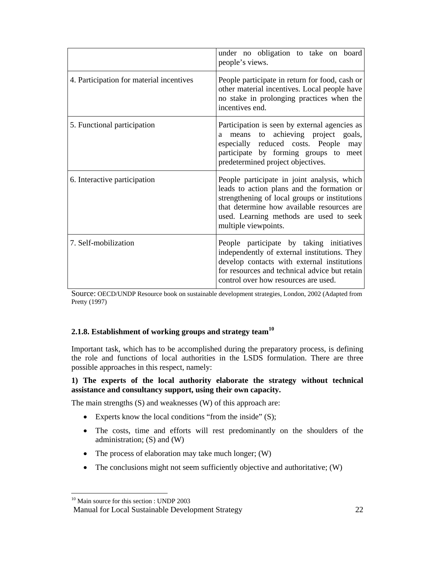|                                          | under no obligation to take on board<br>people's views.                                                                                                                                                                                                     |
|------------------------------------------|-------------------------------------------------------------------------------------------------------------------------------------------------------------------------------------------------------------------------------------------------------------|
| 4. Participation for material incentives | People participate in return for food, cash or<br>other material incentives. Local people have<br>no stake in prolonging practices when the<br>incentives end.                                                                                              |
| 5. Functional participation              | Participation is seen by external agencies as<br>achieving project goals,<br>means<br>to<br>a<br>especially reduced costs. People<br>may<br>participate by forming groups to meet<br>predetermined project objectives.                                      |
| 6. Interactive participation             | People participate in joint analysis, which<br>leads to action plans and the formation or<br>strengthening of local groups or institutions<br>that determine how available resources are<br>used. Learning methods are used to seek<br>multiple viewpoints. |
| 7. Self-mobilization                     | People participate by taking initiatives<br>independently of external institutions. They<br>develop contacts with external institutions<br>for resources and technical advice but retain<br>control over how resources are used.                            |

Source: OECD/UNDP Resource book on sustainable development strategies, London, 2002 (Adapted from Pretty (1997)

# **2.1.8. Establishment of working groups and strategy team<sup>10</sup>**

Important task, which has to be accomplished during the preparatory process, is defining the role and functions of local authorities in the LSDS formulation. There are three possible approaches in this respect, namely:

#### **1) The experts of the local authority elaborate the strategy without technical assistance and consultancy support, using their own capacity.**

The main strengths (S) and weaknesses (W) of this approach are:

- Experts know the local conditions "from the inside" (S);
- The costs, time and efforts will rest predominantly on the shoulders of the administration; (S) and (W)
- The process of elaboration may take much longer; (W)
- The conclusions might not seem sufficiently objective and authoritative; (W)

 $\overline{a}$ 

<sup>&</sup>lt;sup>10</sup> Main source for this section : UNDP 2003

Manual for Local Sustainable Development Strategy 22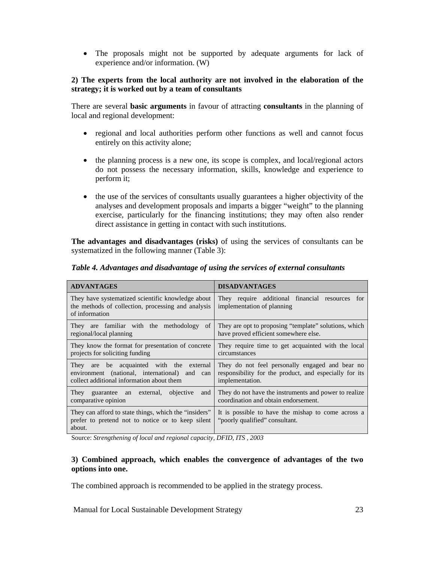• The proposals might not be supported by adequate arguments for lack of experience and/or information. (W)

#### **2) The experts from the local authority are not involved in the elaboration of the strategy; it is worked out by a team of consultants**

There are several **basic arguments** in favour of attracting **consultants** in the planning of local and regional development:

- regional and local authorities perform other functions as well and cannot focus entirely on this activity alone;
- the planning process is a new one, its scope is complex, and local/regional actors do not possess the necessary information, skills, knowledge and experience to perform it;
- the use of the services of consultants usually guarantees a higher objectivity of the analyses and development proposals and imparts a bigger "weight" to the planning exercise, particularly for the financing institutions; they may often also render direct assistance in getting in contact with such institutions.

**The advantages and disadvantages (risks)** of using the services of consultants can be systematized in the following manner (Table 3):

| <b>ADVANTAGES</b>                                                                                                                            | <b>DISADVANTAGES</b>                                                                                                         |
|----------------------------------------------------------------------------------------------------------------------------------------------|------------------------------------------------------------------------------------------------------------------------------|
| They have systematized scientific knowledge about<br>the methods of collection, processing and analysis<br>of information                    | They require additional financial resources<br>for<br>implementation of planning                                             |
| They are familiar with the methodology<br><sub>of</sub><br>regional/local planning                                                           | They are opt to proposing "template" solutions, which<br>have proved efficient somewhere else.                               |
| They know the format for presentation of concrete<br>projects for soliciting funding                                                         | They require time to get acquainted with the local<br>circumstances                                                          |
| be acquainted with the external<br>They<br>are<br>environment (national, international) and can<br>collect additional information about them | They do not feel personally engaged and bear no<br>responsibility for the product, and especially for its<br>implementation. |
| external, objective<br>They guarantee an<br>and<br>comparative opinion                                                                       | They do not have the instruments and power to realize<br>coordination and obtain endorsement.                                |
| They can afford to state things, which the "insiders"<br>prefer to pretend not to notice or to keep silent<br>about.                         | It is possible to have the mishap to come across a<br>"poorly qualified" consultant.                                         |

*Table 4. Advantages and disadvantage of using the services of external consultants* 

Source: *Strengthening of local and regional capacity, DFID, ITS , 2003*

#### **3) Combined approach, which enables the convergence of advantages of the two options into one.**

The combined approach is recommended to be applied in the strategy process.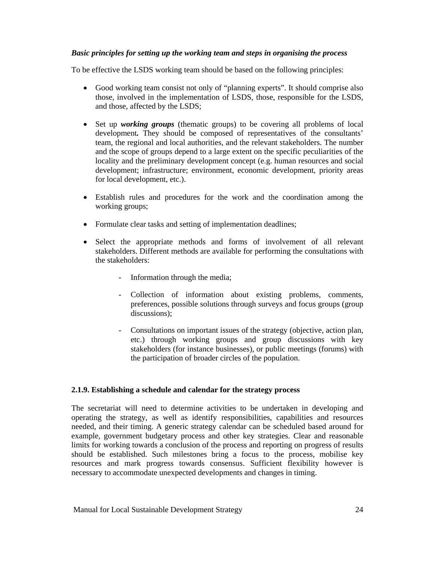# *Basic principles for setting up the working team and steps in organising the process*

To be effective the LSDS working team should be based on the following principles:

- Good working team consist not only of "planning experts". It should comprise also those, involved in the implementation of LSDS, those, responsible for the LSDS, and those, affected by the LSDS;
- Set up *working groups* (thematic groups) to be covering all problems of local development*.* They should be composed of representatives of the consultants' team, the regional and local authorities, and the relevant stakeholders. The number and the scope of groups depend to a large extent on the specific peculiarities of the locality and the preliminary development concept (e.g. human resources and social development; infrastructure; environment, economic development, priority areas for local development, etc.).
- Establish rules and procedures for the work and the coordination among the working groups;
- Formulate clear tasks and setting of implementation deadlines;
- Select the appropriate methods and forms of involvement of all relevant stakeholders. Different methods are available for performing the consultations with the stakeholders:
	- Information through the media;
	- Collection of information about existing problems, comments, preferences, possible solutions through surveys and focus groups (group discussions);
	- Consultations on important issues of the strategy (objective, action plan, etc.) through working groups and group discussions with key stakeholders (for instance businesses), or public meetings (forums) with the participation of broader circles of the population.

# **2.1.9. Establishing a schedule and calendar for the strategy process**

The secretariat will need to determine activities to be undertaken in developing and operating the strategy, as well as identify responsibilities, capabilities and resources needed, and their timing. A generic strategy calendar can be scheduled based around for example, government budgetary process and other key strategies. Clear and reasonable limits for working towards a conclusion of the process and reporting on progress of results should be established. Such milestones bring a focus to the process, mobilise key resources and mark progress towards consensus. Sufficient flexibility however is necessary to accommodate unexpected developments and changes in timing.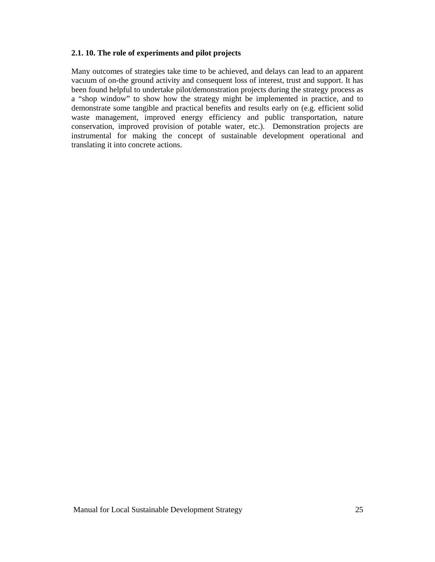# **2.1. 10. The role of experiments and pilot projects**

Many outcomes of strategies take time to be achieved, and delays can lead to an apparent vacuum of on-the ground activity and consequent loss of interest, trust and support. It has been found helpful to undertake pilot/demonstration projects during the strategy process as a "shop window" to show how the strategy might be implemented in practice, and to demonstrate some tangible and practical benefits and results early on (e.g. efficient solid waste management, improved energy efficiency and public transportation, nature conservation, improved provision of potable water, etc.). Demonstration projects are instrumental for making the concept of sustainable development operational and translating it into concrete actions.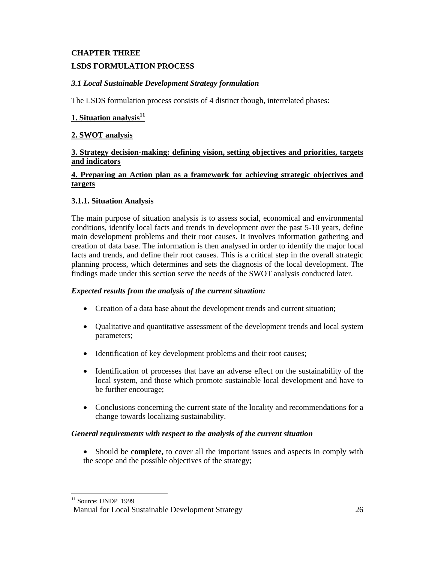# **CHAPTER THREE**

# **LSDS FORMULATION PROCESS**

# *3.1 Local Sustainable Development Strategy formulation*

The LSDS formulation process consists of 4 distinct though, interrelated phases:

# **1. Situation analysis11**

#### **2. SWOT analysis**

#### **3. Strategy decision-making: defining vision, setting objectives and priorities, targets and indicators**

# **4. Preparing an Action plan as a framework for achieving strategic objectives and targets**

# **3.1.1. Situation Analysis**

The main purpose of situation analysis is to assess social, economical and environmental conditions, identify local facts and trends in development over the past 5-10 years, define main development problems and their root causes. It involves information gathering and creation of data base. The information is then analysed in order to identify the major local facts and trends, and define their root causes. This is a critical step in the overall strategic planning process, which determines and sets the diagnosis of the local development. The findings made under this section serve the needs of the SWOT analysis conducted later.

#### *Expected results from the analysis of the current situation:*

- Creation of a data base about the development trends and current situation;
- Qualitative and quantitative assessment of the development trends and local system parameters;
- Identification of key development problems and their root causes;
- Identification of processes that have an adverse effect on the sustainability of the local system, and those which promote sustainable local development and have to be further encourage;
- Conclusions concerning the current state of the locality and recommendations for a change towards localizing sustainability.

#### *General requirements with respect to the analysis of the current situation*

• Should be c**omplete,** to cover all the important issues and aspects in comply with the scope and the possible objectives of the strategy;

<sup>-</sup> $11$  Source: UNDP 1999

Manual for Local Sustainable Development Strategy 26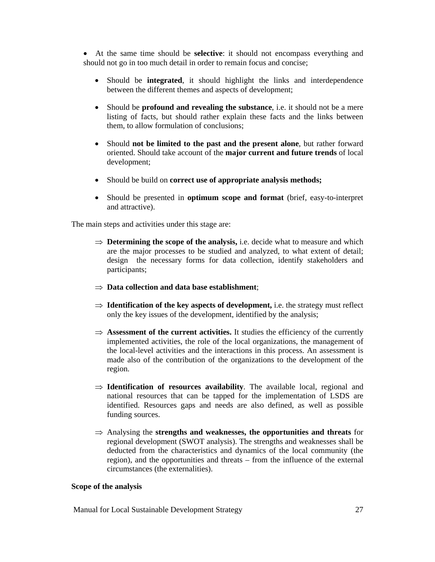• At the same time should be **selective**: it should not encompass everything and should not go in too much detail in order to remain focus and concise;

- Should be **integrated**, it should highlight the links and interdependence between the different themes and aspects of development;
- Should be **profound and revealing the substance**, i.e. it should not be a mere listing of facts, but should rather explain these facts and the links between them, to allow formulation of conclusions;
- Should **not be limited to the past and the present alone**, but rather forward oriented. Should take account of the **major current and future trends** of local development;
- Should be build on **correct use of appropriate analysis methods;**
- Should be presented in **optimum scope and format** (brief, easy-to-interpret and attractive).

The main steps and activities under this stage are:

- ⇒ **Determining the scope of the analysis,** i.e. decide what to measure and which are the major processes to be studied and analyzed, to what extent of detail; design the necessary forms for data collection, identify stakeholders and participants;
- ⇒ **Data collection and data base establishment**;
- ⇒ **Identification of the key aspects of development,** i.e. the strategy must reflect only the key issues of the development, identified by the analysis;
- ⇒ **Assessment of the current activities.** It studies the efficiency of the currently implemented activities, the role of the local organizations, the management of the local-level activities and the interactions in this process. An assessment is made also of the contribution of the organizations to the development of the region.
- ⇒ **Identification of resources availability**. The available local, regional and national resources that can be tapped for the implementation of LSDS are identified. Resources gaps and needs are also defined, as well as possible funding sources.
- ⇒ Analysing the **strengths and weaknesses, the opportunities and threats** for regional development (SWOT analysis). The strengths and weaknesses shall be deducted from the characteristics and dynamics of the local community (the region), and the opportunities and threats – from the influence of the external circumstances (the externalities).

#### **Scope of the analysis**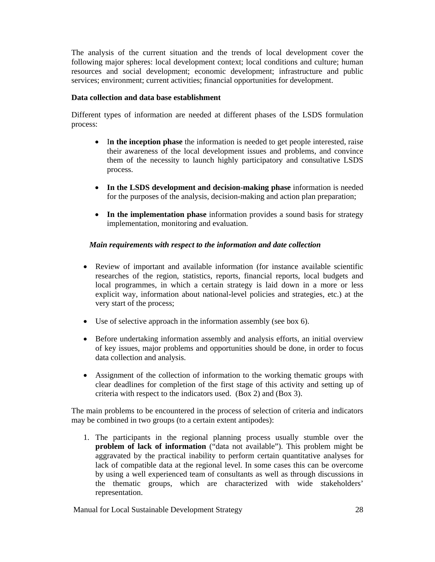The analysis of the current situation and the trends of local development cover the following major spheres: local development context; local conditions and culture; human resources and social development; economic development; infrastructure and public services; environment; current activities; financial opportunities for development.

#### **Data collection and data base establishment**

Different types of information are needed at different phases of the LSDS formulation process:

- I**n the inception phase** the information is needed to get people interested, raise their awareness of the local development issues and problems, and convince them of the necessity to launch highly participatory and consultative LSDS process.
- **In the LSDS development and decision-making phase** information is needed for the purposes of the analysis, decision-making and action plan preparation;
- **In the implementation phase** information provides a sound basis for strategy implementation, monitoring and evaluation.

#### *Main requirements with respect to the information and date collection*

- Review of important and available information (for instance available scientific researches of the region, statistics, reports, financial reports, local budgets and local programmes, in which a certain strategy is laid down in a more or less explicit way, information about national-level policies and strategies, etc.) at the very start of the process;
- Use of selective approach in the information assembly (see box 6).
- Before undertaking information assembly and analysis efforts, an initial overview of key issues, major problems and opportunities should be done, in order to focus data collection and analysis.
- Assignment of the collection of information to the working thematic groups with clear deadlines for completion of the first stage of this activity and setting up of criteria with respect to the indicators used. (Box 2) and (Box 3).

The main problems to be encountered in the process of selection of criteria and indicators may be combined in two groups (to a certain extent antipodes):

1. The participants in the regional planning process usually stumble over the **problem of lack of information** ("data not available"). This problem might be aggravated by the practical inability to perform certain quantitative analyses for lack of compatible data at the regional level. In some cases this can be overcome by using a well experienced team of consultants as well as through discussions in the thematic groups, which are characterized with wide stakeholders' representation.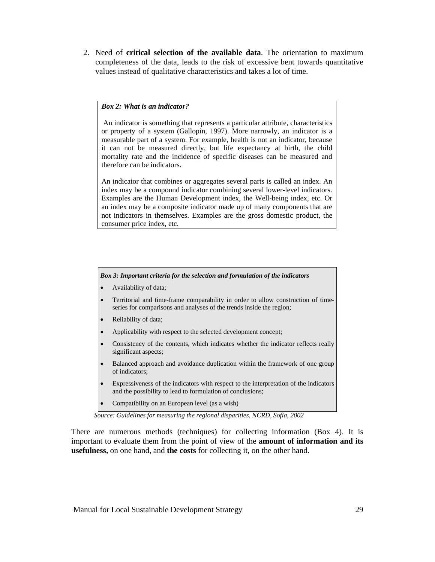2. Need of **critical selection of the available data**. The orientation to maximum completeness of the data, leads to the risk of excessive bent towards quantitative values instead of qualitative characteristics and takes a lot of time.

#### *Box 2: What is an indicator?*

 An indicator is something that represents a particular attribute, characteristics or property of a system (Gallopin, 1997). More narrowly, an indicator is a measurable part of a system. For example, health is not an indicator, because it can not be measured directly, but life expectancy at birth, the child mortality rate and the incidence of specific diseases can be measured and therefore can be indicators.

An indicator that combines or aggregates several parts is called an index. An index may be a compound indicator combining several lower-level indicators. Examples are the Human Development index, the Well-being index, etc. Or an index may be a composite indicator made up of many components that are not indicators in themselves. Examples are the gross domestic product, the consumer price index, etc.

#### *Box 3: Important criteria for the selection and formulation of the indicators*

- Availability of data;
- Territorial and time-frame comparability in order to allow construction of timeseries for comparisons and analyses of the trends inside the region;
- Reliability of data;
- Applicability with respect to the selected development concept;
- Consistency of the contents, which indicates whether the indicator reflects really significant aspects;
- Balanced approach and avoidance duplication within the framework of one group of indicators;
- Expressiveness of the indicators with respect to the interpretation of the indicators and the possibility to lead to formulation of conclusions;
- Compatibility on an European level (as a wish)

*Source: Guidelines for measuring the regional disparities, NCRD, Sofia, 2002* 

There are numerous methods (techniques) for collecting information (Box 4). It is important to evaluate them from the point of view of the **amount of information and its usefulness,** on one hand, and **the costs** for collecting it, on the other hand.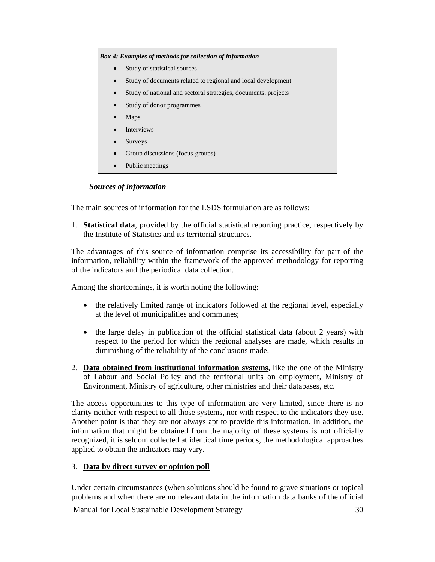*Box 4: Examples of methods for collection of information* 

- Study of statistical sources
- Study of documents related to regional and local development
- Study of national and sectoral strategies, documents, projects
- Study of donor programmes
- Maps
- **Interviews**
- Surveys
- Group discussions (focus-groups)
- Public meetings

#### *Sources of information*

The main sources of information for the LSDS formulation are as follows:

1. **Statistical data**, provided by the official statistical reporting practice, respectively by the Institute of Statistics and its territorial structures.

The advantages of this source of information comprise its accessibility for part of the information, reliability within the framework of the approved methodology for reporting of the indicators and the periodical data collection.

Among the shortcomings, it is worth noting the following:

- the relatively limited range of indicators followed at the regional level, especially at the level of municipalities and communes;
- the large delay in publication of the official statistical data (about 2 years) with respect to the period for which the regional analyses are made, which results in diminishing of the reliability of the conclusions made.
- 2. **Data obtained from institutional information systems**, like the one of the Ministry of Labour and Social Policy and the territorial units on employment, Ministry of Environment, Ministry of agriculture, other ministries and their databases, etc.

The access opportunities to this type of information are very limited, since there is no clarity neither with respect to all those systems, nor with respect to the indicators they use. Another point is that they are not always apt to provide this information. In addition, the information that might be obtained from the majority of these systems is not officially recognized, it is seldom collected at identical time periods, the methodological approaches applied to obtain the indicators may vary.

#### 3. **Data by direct survey or opinion poll**

Under certain circumstances (when solutions should be found to grave situations or topical problems and when there are no relevant data in the information data banks of the official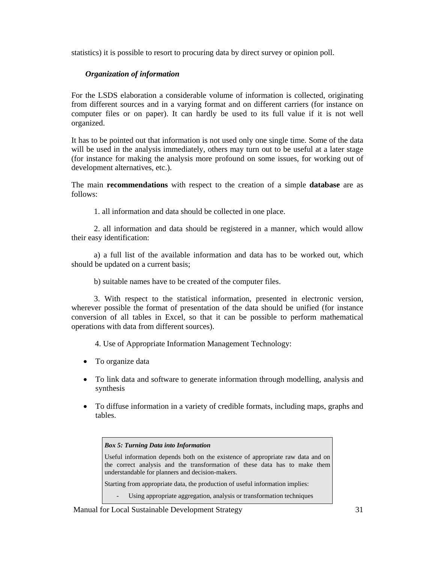statistics) it is possible to resort to procuring data by direct survey or opinion poll.

# *Organization of information*

For the LSDS elaboration a considerable volume of information is collected, originating from different sources and in a varying format and on different carriers (for instance on computer files or on paper). It can hardly be used to its full value if it is not well organized.

It has to be pointed out that information is not used only one single time. Some of the data will be used in the analysis immediately, others may turn out to be useful at a later stage (for instance for making the analysis more profound on some issues, for working out of development alternatives, etc.).

The main **recommendations** with respect to the creation of a simple **database** are as follows:

1. all information and data should be collected in one place.

2. all information and data should be registered in a manner, which would allow their easy identification:

a) a full list of the available information and data has to be worked out, which should be updated on a current basis;

b) suitable names have to be created of the computer files.

3. With respect to the statistical information, presented in electronic version, wherever possible the format of presentation of the data should be unified (for instance conversion of all tables in Excel, so that it can be possible to perform mathematical operations with data from different sources).

4. Use of Appropriate Information Management Technology:

- To organize data
- To link data and software to generate information through modelling, analysis and synthesis
- To diffuse information in a variety of credible formats, including maps, graphs and tables.

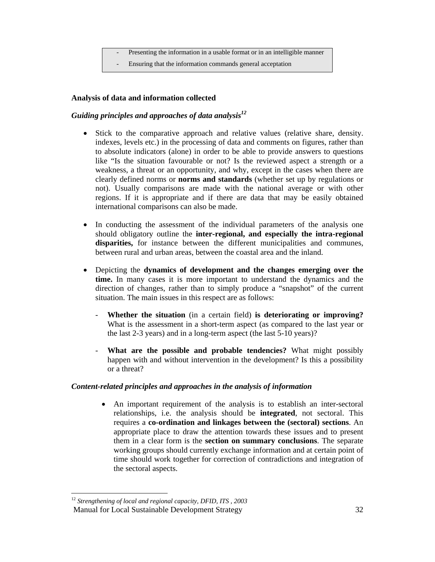- Presenting the information in a usable format or in an intelligible manner
- Ensuring that the information commands general acceptation

#### **Analysis of data and information collected**

# Guiding principles and approaches of data analysis<sup>12</sup>

- Stick to the comparative approach and relative values (relative share, density. indexes, levels etc.) in the processing of data and comments on figures, rather than to absolute indicators (alone) in order to be able to provide answers to questions like "Is the situation favourable or not? Is the reviewed aspect a strength or a weakness, a threat or an opportunity, and why, except in the cases when there are clearly defined norms or **norms and standards** (whether set up by regulations or not). Usually comparisons are made with the national average or with other regions. If it is appropriate and if there are data that may be easily obtained international comparisons can also be made.
- In conducting the assessment of the individual parameters of the analysis one should obligatory outline the **inter-regional, and especially the intra-regional disparities,** for instance between the different municipalities and communes, between rural and urban areas, between the coastal area and the inland.
- Depicting the **dynamics of development and the changes emerging over the time.** In many cases it is more important to understand the dynamics and the direction of changes, rather than to simply produce a "snapshot" of the current situation. The main issues in this respect are as follows:
	- **Whether the situation** (in a certain field) **is deteriorating or improving?** What is the assessment in a short-term aspect (as compared to the last year or the last 2-3 years) and in a long-term aspect (the last 5-10 years)?
	- **What are the possible and probable tendencies?** What might possibly happen with and without intervention in the development? Is this a possibility or a threat?

#### *Content-related principles and approaches in the analysis of information*

• An important requirement of the analysis is to establish an inter-sectoral relationships, i.e. the analysis should be **integrated**, not sectoral. This requires a **co-ordination and linkages between the (sectoral) sections**. An appropriate place to draw the attention towards these issues and to present them in a clear form is the **section on summary conclusions**. The separate working groups should currently exchange information and at certain point of time should work together for correction of contradictions and integration of the sectoral aspects.

Manual for Local Sustainable Development Strategy 32  $\overline{a}$ <sup>12</sup> *Strengthening of local and regional capacity, DFID, ITS , 2003*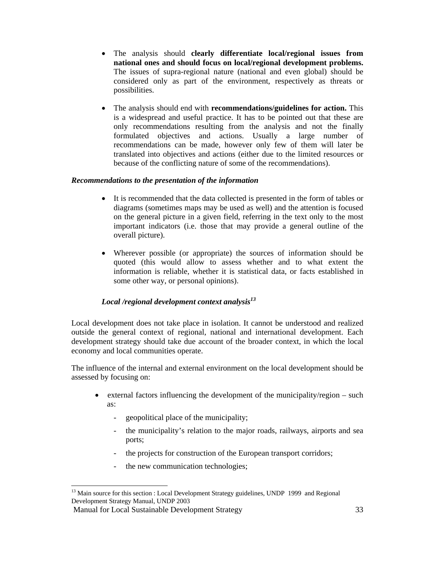- The analysis should **clearly differentiate local/regional issues from national ones and should focus on local/regional development problems.**  The issues of supra-regional nature (national and even global) should be considered only as part of the environment, respectively as threats or possibilities.
- The analysis should end with **recommendations/guidelines for action.** This is a widespread and useful practice. It has to be pointed out that these are only recommendations resulting from the analysis and not the finally formulated objectives and actions. Usually a large number of recommendations can be made, however only few of them will later be translated into objectives and actions (either due to the limited resources or because of the conflicting nature of some of the recommendations).

#### *Recommendations to the presentation of the information*

- It is recommended that the data collected is presented in the form of tables or diagrams (sometimes maps may be used as well) and the attention is focused on the general picture in a given field, referring in the text only to the most important indicators (i.e. those that may provide a general outline of the overall picture).
- Wherever possible (or appropriate) the sources of information should be quoted (this would allow to assess whether and to what extent the information is reliable, whether it is statistical data, or facts established in some other way, or personal opinions).

# *Local /regional development context analysis<sup>13</sup>*

Local development does not take place in isolation. It cannot be understood and realized outside the general context of regional, national and international development. Each development strategy should take due account of the broader context, in which the local economy and local communities operate.

The influence of the internal and external environment on the local development should be assessed by focusing on:

- external factors influencing the development of the municipality/region such as:
	- geopolitical place of the municipality;
	- the municipality's relation to the major roads, railways, airports and sea ports;
	- the projects for construction of the European transport corridors;
	- the new communication technologies;

 $\overline{a}$  $<sup>13</sup>$  Main source for this section : Local Development Strategy guidelines, UNDP 1999 and Regional</sup> Development Strategy Manual, UNDP 2003

Manual for Local Sustainable Development Strategy 33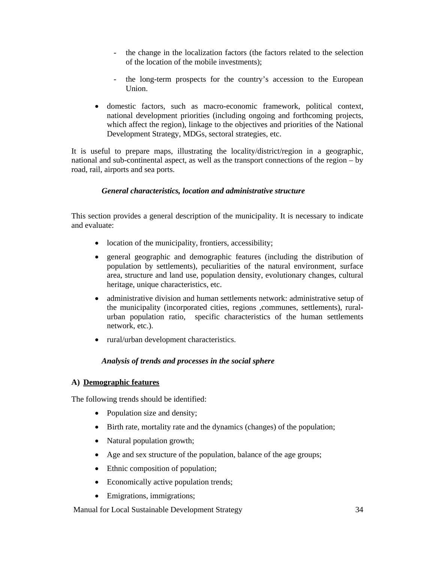- the change in the localization factors (the factors related to the selection of the location of the mobile investments);
- the long-term prospects for the country's accession to the European Union.
- domestic factors, such as macro-economic framework, political context, national development priorities (including ongoing and forthcoming projects, which affect the region), linkage to the objectives and priorities of the National Development Strategy, MDGs, sectoral strategies, etc.

It is useful to prepare maps, illustrating the locality/district/region in a geographic, national and sub-continental aspect, as well as the transport connections of the region – by road, rail, airports and sea ports.

# *General characteristics, location and administrative structure*

This section provides a general description of the municipality. It is necessary to indicate and evaluate:

- location of the municipality, frontiers, accessibility;
- general geographic and demographic features (including the distribution of population by settlements), peculiarities of the natural environment, surface area, structure and land use, population density, evolutionary changes, cultural heritage, unique characteristics, etc.
- administrative division and human settlements network: administrative setup of the municipality (incorporated cities, regions ,communes, settlements), ruralurban population ratio, specific characteristics of the human settlements network, etc.).
- rural/urban development characteristics.

# *Analysis of trends and processes in the social sphere*

#### **A) Demographic features**

The following trends should be identified:

- Population size and density;
- Birth rate, mortality rate and the dynamics (changes) of the population;
- Natural population growth;
- Age and sex structure of the population, balance of the age groups;
- Ethnic composition of population;
- Economically active population trends;
- Emigrations, immigrations;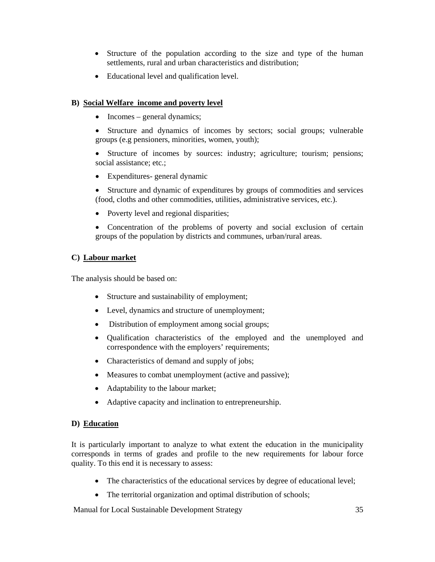- Structure of the population according to the size and type of the human settlements, rural and urban characteristics and distribution;
- Educational level and qualification level.

# **B) Social Welfare income and poverty level**

- Incomes general dynamics;
- Structure and dynamics of incomes by sectors; social groups; vulnerable groups (e.g pensioners, minorities, women, youth);
- Structure of incomes by sources: industry; agriculture; tourism; pensions; social assistance; etc.;
- Expenditures- general dynamic
- Structure and dynamic of expenditures by groups of commodities and services (food, cloths and other commodities, utilities, administrative services, etc.).
- Poverty level and regional disparities;
- Concentration of the problems of poverty and social exclusion of certain groups of the population by districts and communes, urban/rural areas.

# **C) Labour market**

The analysis should be based on:

- Structure and sustainability of employment;
- Level, dynamics and structure of unemployment;
- Distribution of employment among social groups;
- Qualification characteristics of the employed and the unemployed and correspondence with the employers' requirements;
- Characteristics of demand and supply of jobs;
- Measures to combat unemployment (active and passive);
- Adaptability to the labour market;
- Adaptive capacity and inclination to entrepreneurship.

#### **D) Education**

It is particularly important to analyze to what extent the education in the municipality corresponds in terms of grades and profile to the new requirements for labour force quality. To this end it is necessary to assess:

- The characteristics of the educational services by degree of educational level;
- The territorial organization and optimal distribution of schools;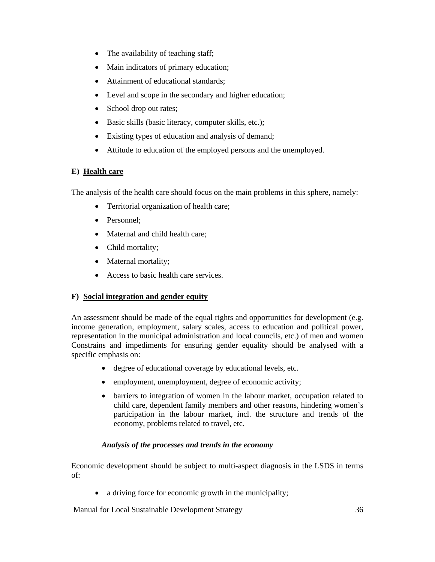- The availability of teaching staff;
- Main indicators of primary education;
- Attainment of educational standards;
- Level and scope in the secondary and higher education;
- School drop out rates;
- Basic skills (basic literacy, computer skills, etc.);
- Existing types of education and analysis of demand;
- Attitude to education of the employed persons and the unemployed.

# **E) Health care**

The analysis of the health care should focus on the main problems in this sphere, namely:

- Territorial organization of health care;
- Personnel:
- Maternal and child health care;
- Child mortality;
- Maternal mortality;
- Access to basic health care services.

# **F) Social integration and gender equity**

An assessment should be made of the equal rights and opportunities for development (e.g. income generation, employment, salary scales, access to education and political power, representation in the municipal administration and local councils, etc.) of men and women Constrains and impediments for ensuring gender equality should be analysed with a specific emphasis on:

- degree of educational coverage by educational levels, etc.
- employment, unemployment, degree of economic activity;
- barriers to integration of women in the labour market, occupation related to child care, dependent family members and other reasons, hindering women's participation in the labour market, incl. the structure and trends of the economy, problems related to travel, etc.

# *Analysis of the processes and trends in the economy*

Economic development should be subject to multi-aspect diagnosis in the LSDS in terms of:

• a driving force for economic growth in the municipality;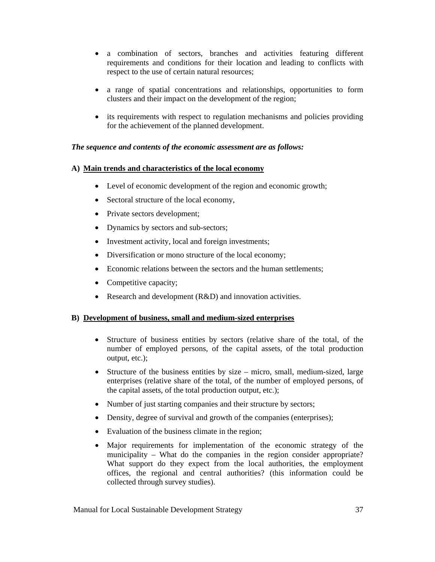- a combination of sectors, branches and activities featuring different requirements and conditions for their location and leading to conflicts with respect to the use of certain natural resources;
- a range of spatial concentrations and relationships, opportunities to form clusters and their impact on the development of the region;
- its requirements with respect to regulation mechanisms and policies providing for the achievement of the planned development.

# *The sequence and contents of the economic assessment are as follows:*

# **A) Main trends and characteristics of the local economy**

- Level of economic development of the region and economic growth;
- Sectoral structure of the local economy,
- Private sectors development;
- Dynamics by sectors and sub-sectors;
- Investment activity, local and foreign investments;
- Diversification or mono structure of the local economy;
- Economic relations between the sectors and the human settlements;
- Competitive capacity;
- Research and development (R&D) and innovation activities.

# **B) Development of business, small and medium-sized enterprises**

- Structure of business entities by sectors (relative share of the total, of the number of employed persons, of the capital assets, of the total production output, etc.);
- Structure of the business entities by size micro, small, medium-sized, large enterprises (relative share of the total, of the number of employed persons, of the capital assets, of the total production output, etc.);
- Number of just starting companies and their structure by sectors;
- Density, degree of survival and growth of the companies (enterprises);
- Evaluation of the business climate in the region;
- Major requirements for implementation of the economic strategy of the municipality – What do the companies in the region consider appropriate? What support do they expect from the local authorities, the employment offices, the regional and central authorities? (this information could be collected through survey studies).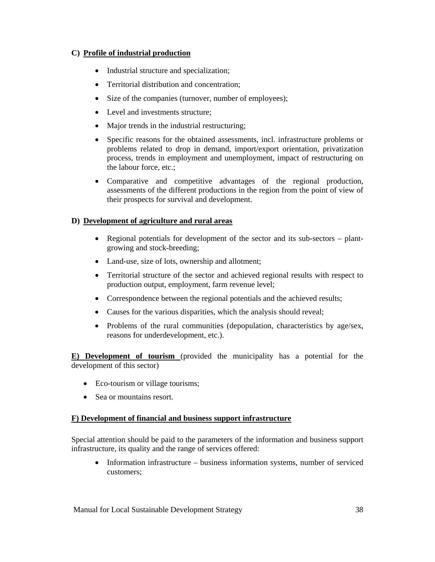# **C) Profile of industrial production**

- Industrial structure and specialization;
- Territorial distribution and concentration;
- Size of the companies (turnover, number of employees);
- Level and investments structure;
- Major trends in the industrial restructuring;
- Specific reasons for the obtained assessments, incl. infrastructure problems or problems related to drop in demand, import/export orientation, privatization process, trends in employment and unemployment, impact of restructuring on the labour force, etc.;
- Comparative and competitive advantages of the regional production, assessments of the different productions in the region from the point of view of their prospects for survival and development.

# **D) Development of agriculture and rural areas**

- Regional potentials for development of the sector and its sub-sectors plantgrowing and stock-breeding;
- Land-use, size of lots, ownership and allotment;
- Territorial structure of the sector and achieved regional results with respect to production output, employment, farm revenue level;
- Correspondence between the regional potentials and the achieved results;
- Causes for the various disparities, which the analysis should reveal;
- Problems of the rural communities (depopulation, characteristics by age/sex, reasons for underdevelopment, etc.).

**E) Development of tourism** (provided the municipality has a potential for the development of this sector)

- Eco-tourism or village tourisms;
- Sea or mountains resort.

# **F) Development of financial and business support infrastructure**

Special attention should be paid to the parameters of the information and business support infrastructure, its quality and the range of services offered:

• Information infrastructure – business information systems, number of serviced customers;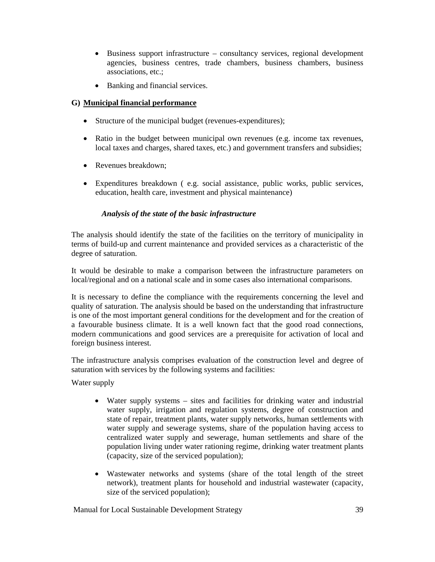- Business support infrastructure consultancy services, regional development agencies, business centres, trade chambers, business chambers, business associations, etc.;
- Banking and financial services.

# **G) Municipal financial performance**

- Structure of the municipal budget (revenues-expenditures);
- Ratio in the budget between municipal own revenues (e.g. income tax revenues, local taxes and charges, shared taxes, etc.) and government transfers and subsidies;
- Revenues breakdown:
- Expenditures breakdown ( e.g. social assistance, public works, public services, education, health care, investment and physical maintenance)

# *Analysis of the state of the basic infrastructure*

The analysis should identify the state of the facilities on the territory of municipality in terms of build-up and current maintenance and provided services as a characteristic of the degree of saturation.

It would be desirable to make a comparison between the infrastructure parameters on local/regional and on a national scale and in some cases also international comparisons.

It is necessary to define the compliance with the requirements concerning the level and quality of saturation. The analysis should be based on the understanding that infrastructure is one of the most important general conditions for the development and for the creation of a favourable business climate. It is a well known fact that the good road connections, modern communications and good services are a prerequisite for activation of local and foreign business interest.

The infrastructure analysis comprises evaluation of the construction level and degree of saturation with services by the following systems and facilities:

Water supply

- Water supply systems sites and facilities for drinking water and industrial water supply, irrigation and regulation systems, degree of construction and state of repair, treatment plants, water supply networks, human settlements with water supply and sewerage systems, share of the population having access to centralized water supply and sewerage, human settlements and share of the population living under water rationing regime, drinking water treatment plants (capacity, size of the serviced population);
- Wastewater networks and systems (share of the total length of the street network), treatment plants for household and industrial wastewater (capacity, size of the serviced population);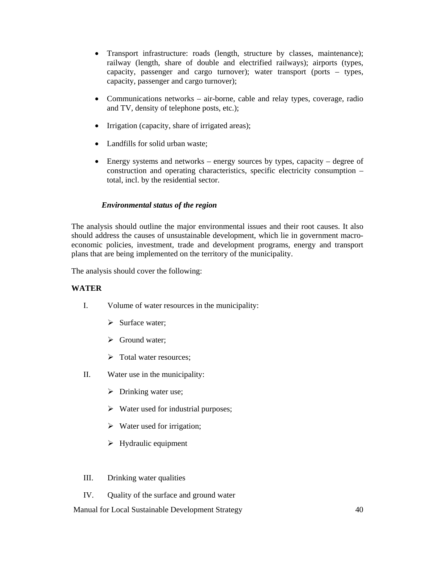- Transport infrastructure: roads (length, structure by classes, maintenance); railway (length, share of double and electrified railways); airports (types, capacity, passenger and cargo turnover); water transport (ports – types, capacity, passenger and cargo turnover);
- Communications networks air-borne, cable and relay types, coverage, radio and TV, density of telephone posts, etc.);
- Irrigation (capacity, share of irrigated areas);
- Landfills for solid urban waste;
- Energy systems and networks energy sources by types, capacity degree of construction and operating characteristics, specific electricity consumption – total, incl. by the residential sector.

#### *Environmental status of the region*

The analysis should outline the major environmental issues and their root causes. It also should address the causes of unsustainable development, which lie in government macroeconomic policies, investment, trade and development programs, energy and transport plans that are being implemented on the territory of the municipality.

The analysis should cover the following:

#### **WATER**

- I. Volume of water resources in the municipality:
	- $\triangleright$  Surface water;
	- $\triangleright$  Ground water;
	- $\triangleright$  Total water resources;
- II. Water use in the municipality:
	- $\triangleright$  Drinking water use;
	- $\triangleright$  Water used for industrial purposes;
	- $\triangleright$  Water used for irrigation;
	- $\triangleright$  Hydraulic equipment
- III. Drinking water qualities
- IV. Quality of the surface and ground water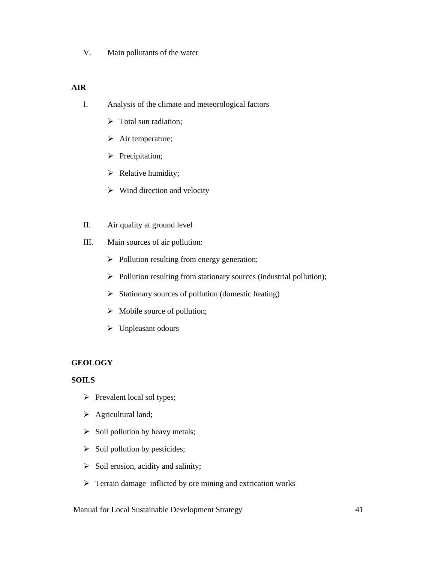V. Main pollutants of the water

# **AIR**

- I. Analysis of the climate and meteorological factors
	- $\triangleright$  Total sun radiation;
	- $\triangleright$  Air temperature;
	- $\triangleright$  Precipitation;
	- $\triangleright$  Relative humidity;
	- $\triangleright$  Wind direction and velocity
- II. Air quality at ground level
- III. Main sources of air pollution:
	- $\triangleright$  Pollution resulting from energy generation;
	- ¾ Pollution resulting from stationary sources (industrial pollution);
	- $\triangleright$  Stationary sources of pollution (domestic heating)
	- $\triangleright$  Mobile source of pollution;
	- $\triangleright$  Unpleasant odours

# **GEOLOGY**

# **SOILS**

- $\triangleright$  Prevalent local sol types;
- $\triangleright$  Agricultural land;
- $\triangleright$  Soil pollution by heavy metals;
- $\triangleright$  Soil pollution by pesticides;
- $\triangleright$  Soil erosion, acidity and salinity;
- $\triangleright$  Terrain damage inflicted by ore mining and extrication works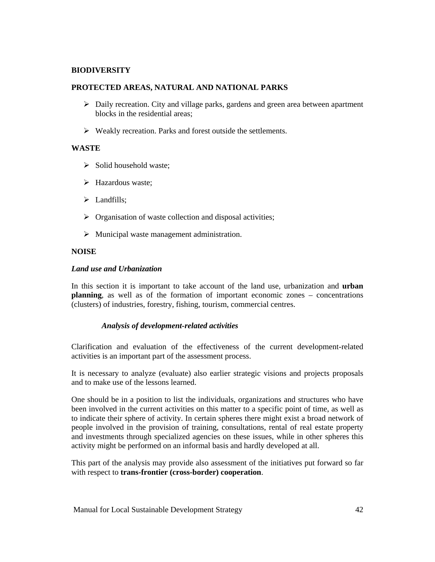# **BIODIVERSITY**

#### **PROTECTED AREAS, NATURAL AND NATIONAL PARKS**

- $\triangleright$  Daily recreation. City and village parks, gardens and green area between apartment blocks in the residential areas;
- $\triangleright$  Weakly recreation. Parks and forest outside the settlements.

# **WASTE**

- $\triangleright$  Solid household waste;
- $\triangleright$  Hazardous waste;
- $\triangleright$  Landfills;
- $\triangleright$  Organisation of waste collection and disposal activities;
- $\triangleright$  Municipal waste management administration.

# **NOISE**

#### *Land use and Urbanization*

In this section it is important to take account of the land use, urbanization and **urban planning**, as well as of the formation of important economic zones – concentrations (clusters) of industries, forestry, fishing, tourism, commercial centres.

# *Analysis of development-related activities*

Clarification and evaluation of the effectiveness of the current development-related activities is an important part of the assessment process.

It is necessary to analyze (evaluate) also earlier strategic visions and projects proposals and to make use of the lessons learned.

One should be in a position to list the individuals, organizations and structures who have been involved in the current activities on this matter to a specific point of time, as well as to indicate their sphere of activity. In certain spheres there might exist a broad network of people involved in the provision of training, consultations, rental of real estate property and investments through specialized agencies on these issues, while in other spheres this activity might be performed on an informal basis and hardly developed at all.

This part of the analysis may provide also assessment of the initiatives put forward so far with respect to **trans-frontier (cross-border) cooperation**.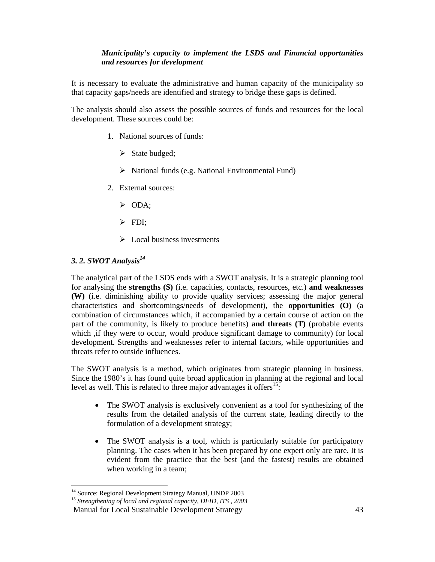# *Municipality's capacity to implement the LSDS and Financial opportunities and resources for development*

It is necessary to evaluate the administrative and human capacity of the municipality so that capacity gaps/needs are identified and strategy to bridge these gaps is defined.

The analysis should also assess the possible sources of funds and resources for the local development. These sources could be:

- 1. National sources of funds:
	- $\triangleright$  State budged;
	- $\triangleright$  National funds (e.g. National Environmental Fund)
- 2. External sources:
	- $\triangleright$  ODA:
	- $\triangleright$  FDI;
	- $\triangleright$  Local business investments

# *3. 2. SWOT Analysis14*

The analytical part of the LSDS ends with a SWOT analysis. It is a strategic planning tool for analysing the **strengths (S)** (i.e. capacities, contacts, resources, etc.) **and weaknesses (W)** (i.e. diminishing ability to provide quality services; assessing the major general characteristics and shortcomings/needs of development), the **opportunities (O)** (a combination of circumstances which, if accompanied by a certain course of action on the part of the community, is likely to produce benefits) **and threats (T)** (probable events which , if they were to occur, would produce significant damage to community) for local development. Strengths and weaknesses refer to internal factors, while opportunities and threats refer to outside influences.

The SWOT analysis is a method, which originates from strategic planning in business. Since the 1980's it has found quite broad application in planning at the regional and local level as well. This is related to three major advantages it offers<sup>15</sup>:

- The SWOT analysis is exclusively convenient as a tool for synthesizing of the results from the detailed analysis of the current state, leading directly to the formulation of a development strategy;
- The SWOT analysis is a tool, which is particularly suitable for participatory planning. The cases when it has been prepared by one expert only are rare. It is evident from the practice that the best (and the fastest) results are obtained when working in a team;

 $\overline{a}$ <sup>14</sup> Source: Regional Development Strategy Manual, UNDP 2003

<sup>15</sup> *Strengthening of local and regional capacity, DFID, ITS , 2003*

Manual for Local Sustainable Development Strategy 43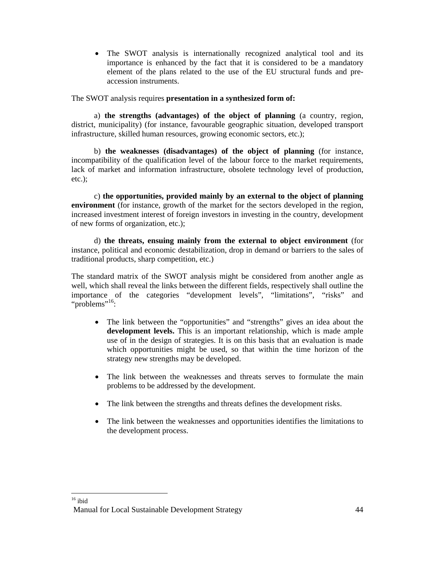• The SWOT analysis is internationally recognized analytical tool and its importance is enhanced by the fact that it is considered to be a mandatory element of the plans related to the use of the EU structural funds and preaccession instruments.

The SWOT analysis requires **presentation in a synthesized form of:**

a) **the strengths (advantages) of the object of planning** (a country, region, district, municipality) (for instance, favourable geographic situation, developed transport infrastructure, skilled human resources, growing economic sectors, etc.);

b) **the weaknesses (disadvantages) of the object of planning** (for instance, incompatibility of the qualification level of the labour force to the market requirements, lack of market and information infrastructure, obsolete technology level of production, etc.);

c) **the opportunities, provided mainly by an external to the object of planning environment** (for instance, growth of the market for the sectors developed in the region, increased investment interest of foreign investors in investing in the country, development of new forms of organization, etc.);

d) **the threats, ensuing mainly from the external to object environment** (for instance, political and economic destabilization, drop in demand or barriers to the sales of traditional products, sharp competition, etc.)

The standard matrix of the SWOT analysis might be considered from another angle as well, which shall reveal the links between the different fields, respectively shall outline the importance of the categories "development levels", "limitations", "risks" and "problems"<sup>16</sup>:

- The link between the "opportunities" and "strengths" gives an idea about the **development levels.** This is an important relationship, which is made ample use of in the design of strategies. It is on this basis that an evaluation is made which opportunities might be used, so that within the time horizon of the strategy new strengths may be developed.
- The link between the weaknesses and threats serves to formulate the main problems to be addressed by the development.
- The link between the strengths and threats defines the development risks.
- The link between the weaknesses and opportunities identifies the limitations to the development process.

<sup>-</sup> $16$  ibid

Manual for Local Sustainable Development Strategy 44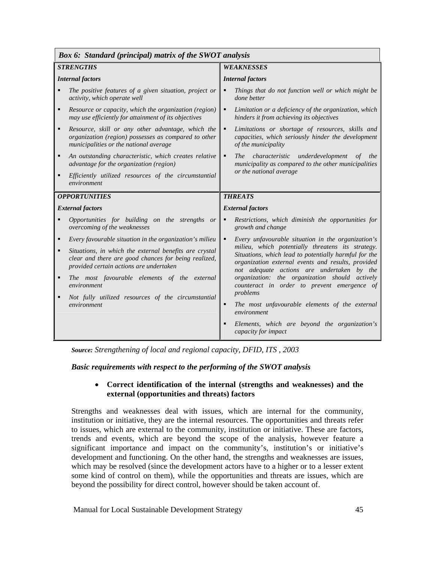| <b>Box 6: Standard (principal) matrix of the SWOT analysis</b>                                                                                                              |                                                                                                                                                                                                                |  |  |  |  |  |
|-----------------------------------------------------------------------------------------------------------------------------------------------------------------------------|----------------------------------------------------------------------------------------------------------------------------------------------------------------------------------------------------------------|--|--|--|--|--|
| <b>STRENGTHS</b>                                                                                                                                                            | <b>WEAKNESSES</b>                                                                                                                                                                                              |  |  |  |  |  |
| <b>Internal factors</b>                                                                                                                                                     | <b>Internal factors</b>                                                                                                                                                                                        |  |  |  |  |  |
| The positive features of a given situation, project or<br>activity, which operate well                                                                                      | Things that do not function well or which might be<br>٠<br>done better                                                                                                                                         |  |  |  |  |  |
| Resource or capacity, which the organization (region)<br>$\blacksquare$<br>may use efficiently for attainment of its objectives                                             | Limitation or a deficiency of the organization, which<br>٠<br>hinders it from achieving its objectives                                                                                                         |  |  |  |  |  |
| $\blacksquare$<br>Resource, skill or any other advantage, which the<br>organization (region) possesses as compared to other<br>municipalities or the national average       | ٠<br>Limitations or shortage of resources, skills and<br>capacities, which seriously hinder the development<br>of the municipality                                                                             |  |  |  |  |  |
| An outstanding characteristic, which creates relative<br>٠<br>advantage for the organization (region)                                                                       | The characteristic underdevelopment of the<br>٠<br>municipality as compared to the other municipalities                                                                                                        |  |  |  |  |  |
| Efficiently utilized resources of the circumstantial<br>$\blacksquare$<br>environment                                                                                       | or the national average                                                                                                                                                                                        |  |  |  |  |  |
| <b>OPPORTUNITIES</b>                                                                                                                                                        | <b>THREATS</b>                                                                                                                                                                                                 |  |  |  |  |  |
| <b>External factors</b>                                                                                                                                                     | <b>External factors</b>                                                                                                                                                                                        |  |  |  |  |  |
| Opportunities for building on the strengths or<br>overcoming of the weaknesses                                                                                              | Restrictions, which diminish the opportunities for<br>٠<br>growth and change                                                                                                                                   |  |  |  |  |  |
| Every favourable situation in the organization's milieu<br>٠                                                                                                                | Every unfavourable situation in the organization's<br>٠                                                                                                                                                        |  |  |  |  |  |
| Situations, in which the external benefits are crystal<br>$\blacksquare$<br>clear and there are good chances for being realized,<br>provided certain actions are undertaken | milieu, which potentially threatens its strategy.<br>Situations, which lead to potentially harmful for the<br>organization external events and results, provided<br>not adequate actions are undertaken by the |  |  |  |  |  |
| The most favourable elements of the external<br>٠<br>environment                                                                                                            | organization: the organization should actively<br>counteract in order to prevent emergence of<br>problems                                                                                                      |  |  |  |  |  |
| Not fully utilized resources of the circumstantial<br>٠<br>environment                                                                                                      | The most unfavourable elements of the external<br>Ξ<br>environment                                                                                                                                             |  |  |  |  |  |
|                                                                                                                                                                             | Elements, which are beyond the organization's<br>٠<br>capacity for impact                                                                                                                                      |  |  |  |  |  |

*Source: Strengthening of local and regional capacity, DFID, ITS , 2003*

*Basic requirements with respect to the performing of the SWOT analysis* 

# • **Correct identification of the internal (strengths and weaknesses) and the external (opportunities and threats) factors**

Strengths and weaknesses deal with issues, which are internal for the community, institution or initiative, they are the internal resources. The opportunities and threats refer to issues, which are external to the community, institution or initiative. These are factors, trends and events, which are beyond the scope of the analysis, however feature a significant importance and impact on the community's, institution's or initiative's development and functioning. On the other hand, the strengths and weaknesses are issues, which may be resolved (since the development actors have to a higher or to a lesser extent some kind of control on them), while the opportunities and threats are issues, which are beyond the possibility for direct control, however should be taken account of.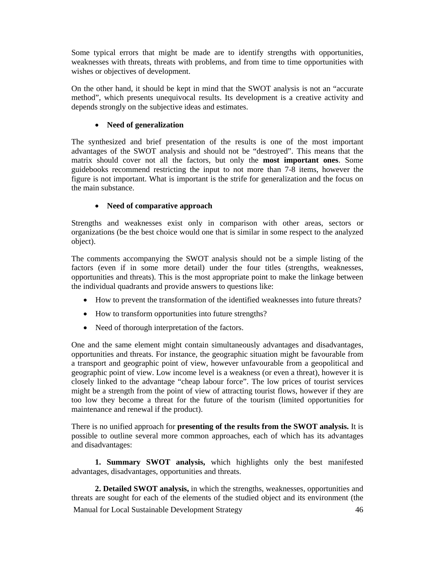Some typical errors that might be made are to identify strengths with opportunities, weaknesses with threats, threats with problems, and from time to time opportunities with wishes or objectives of development.

On the other hand, it should be kept in mind that the SWOT analysis is not an "accurate method", which presents unequivocal results. Its development is a creative activity and depends strongly on the subjective ideas and estimates.

# • **Need of generalization**

The synthesized and brief presentation of the results is one of the most important advantages of the SWOT analysis and should not be "destroyed". This means that the matrix should cover not all the factors, but only the **most important ones**. Some guidebooks recommend restricting the input to not more than 7-8 items, however the figure is not important. What is important is the strife for generalization and the focus on the main substance.

# • **Need of comparative approach**

Strengths and weaknesses exist only in comparison with other areas, sectors or organizations (be the best choice would one that is similar in some respect to the analyzed object).

The comments accompanying the SWOT analysis should not be a simple listing of the factors (even if in some more detail) under the four titles (strengths, weaknesses, opportunities and threats). This is the most appropriate point to make the linkage between the individual quadrants and provide answers to questions like:

- How to prevent the transformation of the identified weaknesses into future threats?
- How to transform opportunities into future strengths?
- Need of thorough interpretation of the factors.

One and the same element might contain simultaneously advantages and disadvantages, opportunities and threats. For instance, the geographic situation might be favourable from a transport and geographic point of view, however unfavourable from a geopolitical and geographic point of view. Low income level is a weakness (or even a threat), however it is closely linked to the advantage "cheap labour force". The low prices of tourist services might be a strength from the point of view of attracting tourist flows, however if they are too low they become a threat for the future of the tourism (limited opportunities for maintenance and renewal if the product).

There is no unified approach for **presenting of the results from the SWOT analysis.** It is possible to outline several more common approaches, each of which has its advantages and disadvantages:

**1. Summary SWOT analysis,** which highlights only the best manifested advantages, disadvantages, opportunities and threats.

 Manual for Local Sustainable Development Strategy 46 **2. Detailed SWOT analysis,** in which the strengths, weaknesses, opportunities and threats are sought for each of the elements of the studied object and its environment (the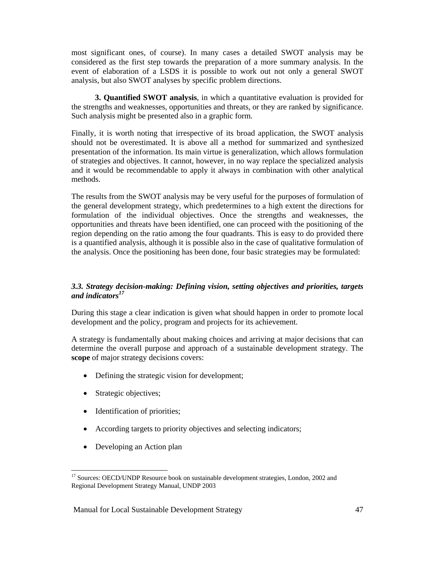most significant ones, of course). In many cases a detailed SWOT analysis may be considered as the first step towards the preparation of a more summary analysis. In the event of elaboration of a LSDS it is possible to work out not only a general SWOT analysis, but also SWOT analyses by specific problem directions.

**3. Quantified SWOT analysis**, in which a quantitative evaluation is provided for the strengths and weaknesses, opportunities and threats, or they are ranked by significance. Such analysis might be presented also in a graphic form.

Finally, it is worth noting that irrespective of its broad application, the SWOT analysis should not be overestimated. It is above all a method for summarized and synthesized presentation of the information. Its main virtue is generalization, which allows formulation of strategies and objectives. It cannot, however, in no way replace the specialized analysis and it would be recommendable to apply it always in combination with other analytical methods.

The results from the SWOT analysis may be very useful for the purposes of formulation of the general development strategy, which predetermines to a high extent the directions for formulation of the individual objectives. Once the strengths and weaknesses, the opportunities and threats have been identified, one can proceed with the positioning of the region depending on the ratio among the four quadrants. This is easy to do provided there is a quantified analysis, although it is possible also in the case of qualitative formulation of the analysis. Once the positioning has been done, four basic strategies may be formulated:

#### *3.3. Strategy decision-making: Defining vision, setting objectives and priorities, targets and indicators<sup>17</sup>*

During this stage a clear indication is given what should happen in order to promote local development and the policy, program and projects for its achievement.

A strategy is fundamentally about making choices and arriving at major decisions that can determine the overall purpose and approach of a sustainable development strategy. The **scope** of major strategy decisions covers:

- Defining the strategic vision for development;
- Strategic objectives;
- Identification of priorities;
- According targets to priority objectives and selecting indicators;
- Developing an Action plan

 $\overline{a}$ 

<sup>&</sup>lt;sup>17</sup> Sources: OECD/UNDP Resource book on sustainable development strategies, London, 2002 and Regional Development Strategy Manual, UNDP 2003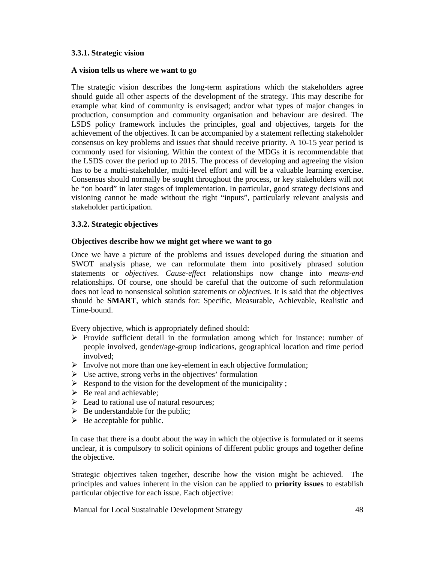# **3.3.1. Strategic vision**

#### **A vision tells us where we want to go**

The strategic vision describes the long-term aspirations which the stakeholders agree should guide all other aspects of the development of the strategy. This may describe for example what kind of community is envisaged; and/or what types of major changes in production, consumption and community organisation and behaviour are desired. The LSDS policy framework includes the principles, goal and objectives, targets for the achievement of the objectives. It can be accompanied by a statement reflecting stakeholder consensus on key problems and issues that should receive priority. A 10-15 year period is commonly used for visioning. Within the context of the MDGs it is recommendable that the LSDS cover the period up to 2015. The process of developing and agreeing the vision has to be a multi-stakeholder, multi-level effort and will be a valuable learning exercise. Consensus should normally be sought throughout the process, or key stakeholders will not be "on board" in later stages of implementation. In particular, good strategy decisions and visioning cannot be made without the right "inputs", particularly relevant analysis and stakeholder participation.

# **3.3.2. Strategic objectives**

#### **Objectives describe how we might get where we want to go**

Once we have a picture of the problems and issues developed during the situation and SWOT analysis phase, we can reformulate them into positively phrased solution statements or *objectives*. *Cause-effect* relationships now change into *means-end* relationships. Of course, one should be careful that the outcome of such reformulation does not lead to nonsensical solution statements or *objectives.* It is said that the objectives should be **SMART**, which stands for: Specific, Measurable, Achievable, Realistic and Time-bound.

Every objective, which is appropriately defined should:

- $\triangleright$  Provide sufficient detail in the formulation among which for instance: number of people involved, gender/age-group indications, geographical location and time period involved;
- $\triangleright$  Involve not more than one key-element in each objective formulation;
- $\triangleright$  Use active, strong verbs in the objectives' formulation
- $\triangleright$  Respond to the vision for the development of the municipality ;
- $\triangleright$  Be real and achievable;
- $\triangleright$  Lead to rational use of natural resources:
- $\triangleright$  Be understandable for the public:
- $\triangleright$  Be acceptable for public.

In case that there is a doubt about the way in which the objective is formulated or it seems unclear, it is compulsory to solicit opinions of different public groups and together define the objective.

Strategic objectives taken together, describe how the vision might be achieved. The principles and values inherent in the vision can be applied to **priority issues** to establish particular objective for each issue. Each objective: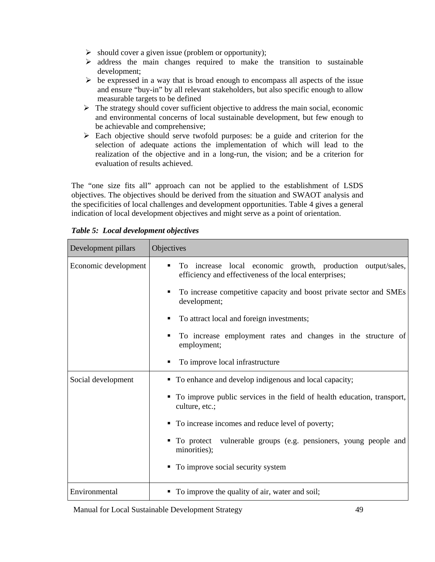- $\triangleright$  should cover a given issue (problem or opportunity);
- $\triangleright$  address the main changes required to make the transition to sustainable development;
- $\triangleright$  be expressed in a way that is broad enough to encompass all aspects of the issue and ensure "buy-in" by all relevant stakeholders, but also specific enough to allow measurable targets to be defined
- $\triangleright$  The strategy should cover sufficient objective to address the main social, economic and environmental concerns of local sustainable development, but few enough to be achievable and comprehensive;
- $\triangleright$  Each objective should serve twofold purposes: be a guide and criterion for the selection of adequate actions the implementation of which will lead to the realization of the objective and in a long-run, the vision; and be a criterion for evaluation of results achieved.

The "one size fits all" approach can not be applied to the establishment of LSDS objectives. The objectives should be derived from the situation and SWAOT analysis and the specificities of local challenges and development opportunities. Table 4 gives a general indication of local development objectives and might serve as a point of orientation.

| Development pillars  | Objectives                                                                                                                    |
|----------------------|-------------------------------------------------------------------------------------------------------------------------------|
| Economic development | local economic growth, production output/sales,<br>To increase<br>٠<br>efficiency and effectiveness of the local enterprises; |
|                      | To increase competitive capacity and boost private sector and SMEs<br>٠<br>development;                                       |
|                      | To attract local and foreign investments;<br>٠                                                                                |
|                      | To increase employment rates and changes in the structure of<br>٠<br>employment;                                              |
|                      | To improve local infrastructure                                                                                               |
| Social development   | • To enhance and develop indigenous and local capacity;                                                                       |
|                      | To improve public services in the field of health education, transport,<br>culture, etc.;                                     |
|                      | • To increase incomes and reduce level of poverty;                                                                            |
|                      | To protect vulnerable groups (e.g. pensioners, young people and<br>minorities);                                               |
|                      | To improve social security system<br>٠                                                                                        |
| Environmental        | To improve the quality of air, water and soil;                                                                                |

*Table 5: Local development objectives*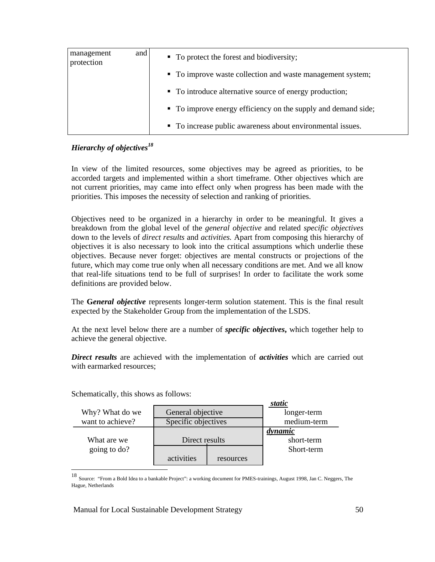| management<br>protection | and | • To protect the forest and biodiversity;                     |  |  |
|--------------------------|-----|---------------------------------------------------------------|--|--|
|                          |     | • To improve waste collection and waste management system;    |  |  |
|                          |     | • To introduce alternative source of energy production;       |  |  |
|                          |     | • To improve energy efficiency on the supply and demand side; |  |  |
|                          |     | • To increase public awareness about environmental issues.    |  |  |

# *Hierarchy of objectives<sup>18</sup>*

In view of the limited resources, some objectives may be agreed as priorities, to be accorded targets and implemented within a short timeframe. Other objectives which are not current priorities, may came into effect only when progress has been made with the priorities. This imposes the necessity of selection and ranking of priorities.

Objectives need to be organized in a hierarchy in order to be meaningful. It gives a breakdown from the global level of the *general objective* and related *specific objectives* down to the levels of *direct results* and *activities.* Apart from composing this hierarchy of objectives it is also necessary to look into the critical assumptions which underlie these objectives. Because never forget: objectives are mental constructs or projections of the future, which may come true only when all necessary conditions are met. And we all know that real-life situations tend to be full of surprises! In order to facilitate the work some definitions are provided below.

The **G***eneral objective* represents longer-term solution statement. This is the final result expected by the Stakeholder Group from the implementation of the LSDS.

At the next level below there are a number of *specific objectives***,** which together help to achieve the general objective.

*Direct results* are achieved with the implementation of *activities* which are carried out with earmarked resources;

**static** Why? What do we contract objective contract of longer-term want to achieve? Specific objectives medium-term *dynamic* What are we **Direct results** short-term going to do? Short-term activities resources  $\overline{a}$ 

Schematically, this shows as follows:

<sup>18</sup> Source: "From a Bold Idea to a bankable Project": a working document for PMES-trainings, August 1998, Jan C. Neggers, The Hague, Netherlands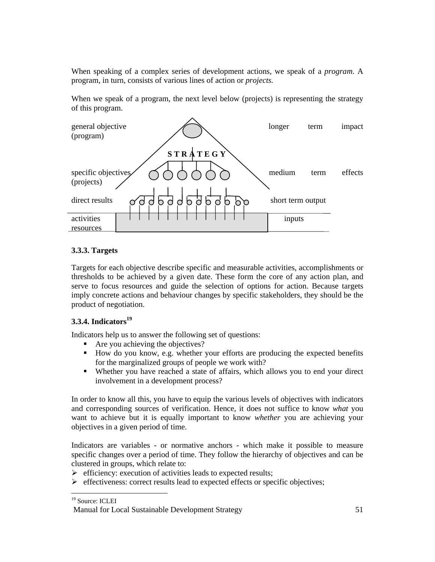When speaking of a complex series of development actions, we speak of a *program*. A program, in turn, consists of various lines of action or *projects.*

When we speak of a program, the next level below (projects) is representing the strategy of this program.

| general objective<br>(program)                      | longer            | term | impact  |
|-----------------------------------------------------|-------------------|------|---------|
| STRATEGY<br>specific objectives                     | medium            | term | effects |
| (projects)                                          |                   |      |         |
| direct results<br>d b d b d b b b<br>b d<br>$\circ$ | short term output |      |         |
| activities                                          | inputs            |      |         |
| resources                                           |                   |      |         |

# **3.3.3. Targets**

Targets for each objective describe specific and measurable activities, accomplishments or thresholds to be achieved by a given date. These form the core of any action plan, and serve to focus resources and guide the selection of options for action. Because targets imply concrete actions and behaviour changes by specific stakeholders, they should be the product of negotiation.

# **3.3.4. Indicators<sup>19</sup>**

Indicators help us to answer the following set of questions:

- Are you achieving the objectives?
- How do you know, e.g. whether your efforts are producing the expected benefits for the marginalized groups of people we work with?
- Whether you have reached a state of affairs, which allows you to end your direct involvement in a development process?

In order to know all this, you have to equip the various levels of objectives with indicators and corresponding sources of verification. Hence, it does not suffice to know *what* you want to achieve but it is equally important to know *whether* you are achieving your objectives in a given period of time.

Indicators are variables - or normative anchors - which make it possible to measure specific changes over a period of time. They follow the hierarchy of objectives and can be clustered in groups, which relate to:

- $\triangleright$  efficiency: execution of activities leads to expected results;
- ¾ effectiveness: correct results lead to expected effects or specific objectives;

 $\overline{a}$ <sup>19</sup> Source: ICLEI

Manual for Local Sustainable Development Strategy 51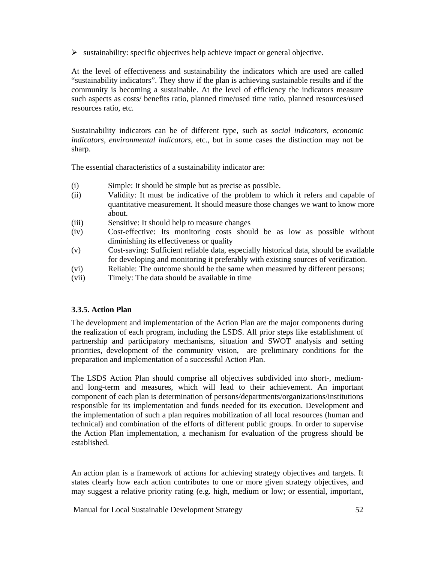$\triangleright$  sustainability: specific objectives help achieve impact or general objective.

At the level of effectiveness and sustainability the indicators which are used are called "sustainability indicators". They show if the plan is achieving sustainable results and if the community is becoming a sustainable. At the level of efficiency the indicators measure such aspects as costs/ benefits ratio, planned time/used time ratio, planned resources/used resources ratio, etc.

Sustainability indicators can be of different type, such as *social indicators, economic indicators, environmental indicators*, etc., but in some cases the distinction may not be sharp.

The essential characteristics of a sustainability indicator are:

- (i) Simple: It should be simple but as precise as possible.
- (ii) Validity: It must be indicative of the problem to which it refers and capable of quantitative measurement. It should measure those changes we want to know more about.
- (iii) Sensitive: It should help to measure changes
- (iv) Cost-effective: Its monitoring costs should be as low as possible without diminishing its effectiveness or quality
- (v) Cost-saving: Sufficient reliable data, especially historical data, should be available for developing and monitoring it preferably with existing sources of verification.
- (vi) Reliable: The outcome should be the same when measured by different persons;
- (vii) Timely: The data should be available in time

# **3.3.5. Action Plan**

The development and implementation of the Action Plan are the major components during the realization of each program, including the LSDS. All prior steps like establishment of partnership and participatory mechanisms, situation and SWOT analysis and setting priorities, development of the community vision, are preliminary conditions for the preparation and implementation of a successful Action Plan.

The LSDS Action Plan should comprise all objectives subdivided into short-, mediumand long-term and measures, which will lead to their achievement. An important component of each plan is determination of persons/departments/organizations/institutions responsible for its implementation and funds needed for its execution. Development and the implementation of such a plan requires mobilization of all local resources (human and technical) and combination of the efforts of different public groups. In order to supervise the Action Plan implementation, a mechanism for evaluation of the progress should be established.

An action plan is a framework of actions for achieving strategy objectives and targets. It states clearly how each action contributes to one or more given strategy objectives, and may suggest a relative priority rating (e.g. high, medium or low; or essential, important,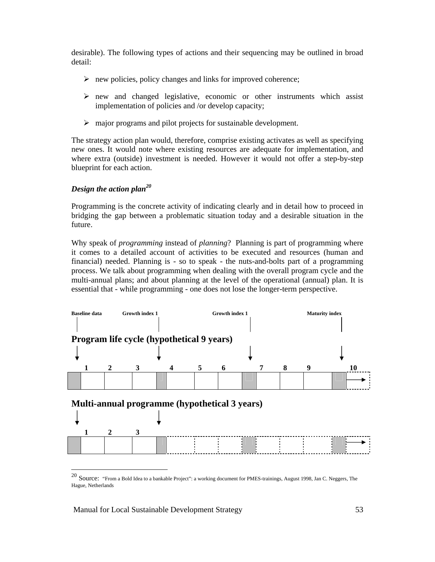desirable). The following types of actions and their sequencing may be outlined in broad detail:

- $\triangleright$  new policies, policy changes and links for improved coherence;
- $\triangleright$  new and changed legislative, economic or other instruments which assist implementation of policies and /or develop capacity;
- $\triangleright$  major programs and pilot projects for sustainable development.

The strategy action plan would, therefore, comprise existing activates as well as specifying new ones. It would note where existing resources are adequate for implementation, and where extra (outside) investment is needed. However it would not offer a step-by-step blueprint for each action.

# *Design the action plan<sup>20</sup>*

Programming is the concrete activity of indicating clearly and in detail how to proceed in bridging the gap between a problematic situation today and a desirable situation in the future.

Why speak of *programming* instead of *planning*? Planning is part of programming where it comes to a detailed account of activities to be executed and resources (human and financial) needed. Planning is - so to speak - the nuts-and-bolts part of a programming process. We talk about programming when dealing with the overall program cycle and the multi-annual plans; and about planning at the level of the operational (annual) plan. It is essential that - while programming - one does not lose the longer-term perspective.



<sup>20</sup> Source: "From a Bold Idea to a bankable Project": a working document for PMES-trainings, August 1998, Jan C. Neggers, The Hague, Netherlands

 $\overline{a}$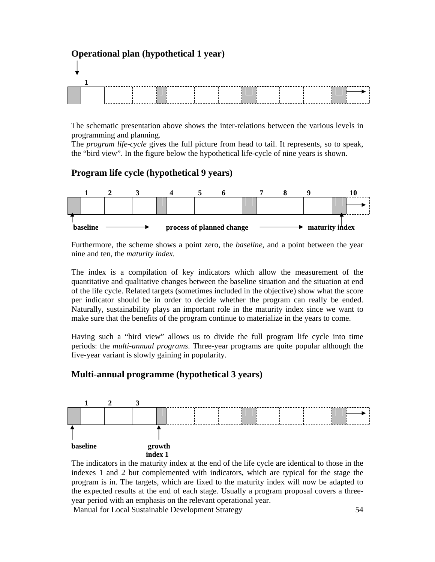# **Operational plan (hypothetical 1 year) 1**

The schematic presentation above shows the inter-relations between the various levels in programming and planning.

The *program life-cycle* gives the full picture from head to tail. It represents, so to speak, the "bird view". In the figure below the hypothetical life-cycle of nine years is shown.

# **Program life cycle (hypothetical 9 years)**



Furthermore, the scheme shows a point zero, the *baseline*, and a point between the year nine and ten, the *maturity index.* 

The index is a compilation of key indicators which allow the measurement of the quantitative and qualitative changes between the baseline situation and the situation at end of the life cycle. Related targets (sometimes included in the objective) show what the score per indicator should be in order to decide whether the program can really be ended. Naturally, sustainability plays an important role in the maturity index since we want to make sure that the benefits of the program continue to materialize in the years to come.

Having such a "bird view" allows us to divide the full program life cycle into time periods: the *multi-annual programs*. Three-year programs are quite popular although the five-year variant is slowly gaining in popularity.

# **Multi-annual programme (hypothetical 3 years)**



The indicators in the maturity index at the end of the life cycle are identical to those in the indexes 1 and 2 but complemented with indicators, which are typical for the stage the program is in. The targets, which are fixed to the maturity index will now be adapted to the expected results at the end of each stage. Usually a program proposal covers a threeyear period with an emphasis on the relevant operational year.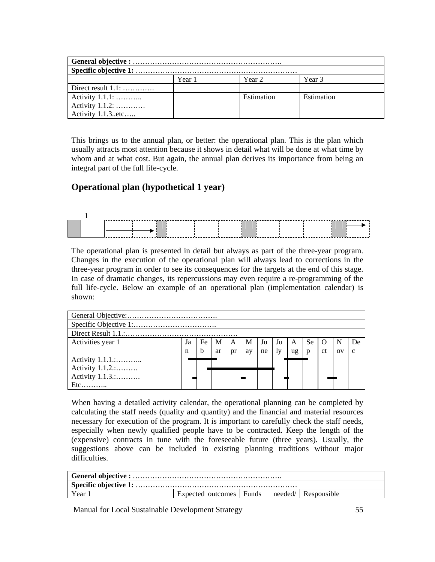|                      | Year 1 | Year 2     | Year 3     |  |  |  |
|----------------------|--------|------------|------------|--|--|--|
| Direct result $1.1:$ |        |            |            |  |  |  |
| Activity 1.1.1:      |        | Estimation | Estimation |  |  |  |
| Activity 1.1.2:      |        |            |            |  |  |  |
| Activity 1.1.3. etc  |        |            |            |  |  |  |

This brings us to the annual plan, or better: the operational plan. This is the plan which usually attracts most attention because it shows in detail what will be done at what time by whom and at what cost. But again, the annual plan derives its importance from being an integral part of the full life-cycle.

# **Operational plan (hypothetical 1 year)**



The operational plan is presented in detail but always as part of the three-year program. Changes in the execution of the operational plan will always lead to corrections in the three-year program in order to see its consequences for the targets at the end of this stage. In case of dramatic changes, its repercussions may even require a re-programming of the full life-cycle. Below an example of an operational plan (implementation calendar) is shown:

| Activities year 1 | Ja | Fe | M  | A  | M  | Ju | Ju | A  | Se | $\lambda$     | N           | De.           |
|-------------------|----|----|----|----|----|----|----|----|----|---------------|-------------|---------------|
|                   | n  | h  | ar | pr | av | ne | 1v | ug | n  | <sub>ct</sub> | $_{\rm OV}$ | $\mathcal{C}$ |
| Activity $1.1.1$  |    |    |    |    |    |    |    |    |    |               |             |               |
| Activity $1.1.2$  |    |    |    |    |    |    |    |    |    |               |             |               |
| Activity 1.1.3.:  |    |    |    |    |    |    |    |    |    |               |             |               |
|                   |    |    |    |    |    |    |    |    |    |               |             |               |

When having a detailed activity calendar, the operational planning can be completed by calculating the staff needs (quality and quantity) and the financial and material resources necessary for execution of the program. It is important to carefully check the staff needs, especially when newly qualified people have to be contracted. Keep the length of the (expensive) contracts in tune with the foreseeable future (three years). Usually, the suggestions above can be included in existing planning traditions without major difficulties.

| Year | Expected outcomes Funds |  |  | needed/ Responsible |  |  |
|------|-------------------------|--|--|---------------------|--|--|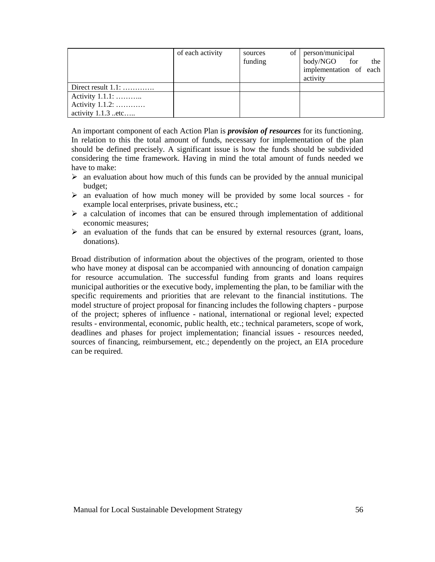|                      | of each activity | sources<br>funding | of person/municipal<br>body/NGO for<br>the<br>implementation of each<br>activity |
|----------------------|------------------|--------------------|----------------------------------------------------------------------------------|
| Direct result $1.1:$ |                  |                    |                                                                                  |
| Activity 1.1.1:      |                  |                    |                                                                                  |
| Activity 1.1.2:      |                  |                    |                                                                                  |
| activity 1.1.3 etc   |                  |                    |                                                                                  |

An important component of each Action Plan is *provision of resources* for its functioning. In relation to this the total amount of funds, necessary for implementation of the plan should be defined precisely. A significant issue is how the funds should be subdivided considering the time framework. Having in mind the total amount of funds needed we have to make:

- $\triangleright$  an evaluation about how much of this funds can be provided by the annual municipal budget;
- $\triangleright$  an evaluation of how much money will be provided by some local sources for example local enterprises, private business, etc.;
- $\geq$  a calculation of incomes that can be ensured through implementation of additional economic measures;
- $\triangleright$  an evaluation of the funds that can be ensured by external resources (grant, loans, donations).

Broad distribution of information about the objectives of the program, oriented to those who have money at disposal can be accompanied with announcing of donation campaign for resource accumulation. The successful funding from grants and loans requires municipal authorities or the executive body, implementing the plan, to be familiar with the specific requirements and priorities that are relevant to the financial institutions. The model structure of project proposal for financing includes the following chapters - purpose of the project; spheres of influence - national, international or regional level; expected results - environmental, economic, public health, etc.; technical parameters, scope of work, deadlines and phases for project implementation; financial issues - resources needed, sources of financing, reimbursement, etc.; dependently on the project, an EIA procedure can be required.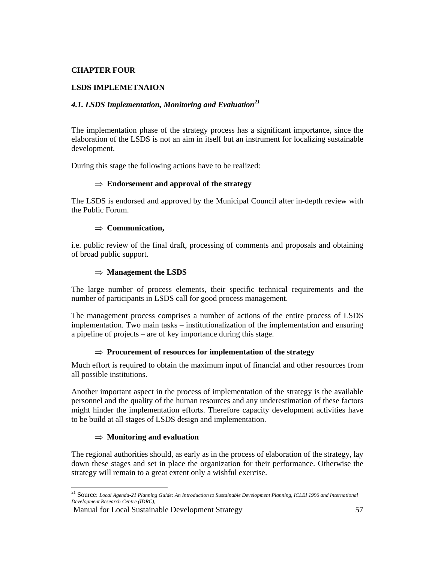# **CHAPTER FOUR**

# **LSDS IMPLEMETNAION**

# *4.1. LSDS Implementation, Monitoring and Evaluation<sup>21</sup>*

The implementation phase of the strategy process has a significant importance, since the elaboration of the LSDS is not an aim in itself but an instrument for localizing sustainable development.

During this stage the following actions have to be realized:

#### ⇒ **Endorsement and approval of the strategy**

The LSDS is endorsed and approved by the Municipal Council after in-depth review with the Public Forum.

#### ⇒ **Communication,**

i.e. public review of the final draft, processing of comments and proposals and obtaining of broad public support.

#### ⇒ **Management the LSDS**

The large number of process elements, their specific technical requirements and the number of participants in LSDS call for good process management.

The management process comprises a number of actions of the entire process of LSDS implementation. Two main tasks – institutionalization of the implementation and ensuring a pipeline of projects – are of key importance during this stage.

#### ⇒ **Procurement of resources for implementation of the strategy**

Much effort is required to obtain the maximum input of financial and other resources from all possible institutions.

Another important aspect in the process of implementation of the strategy is the available personnel and the quality of the human resources and any underestimation of these factors might hinder the implementation efforts. Therefore capacity development activities have to be build at all stages of LSDS design and implementation.

#### ⇒ **Monitoring and evaluation**

The regional authorities should, as early as in the process of elaboration of the strategy, lay down these stages and set in place the organization for their performance. Otherwise the strategy will remain to a great extent only a wishful exercise.

<sup>21</sup> Source: *Local Agenda-21 Planning Guide: An Introduction to Sustainable Development Planning, ICLEI 1996 and International Development Research Centre (IDRC),*

Manual for Local Sustainable Development Strategy 57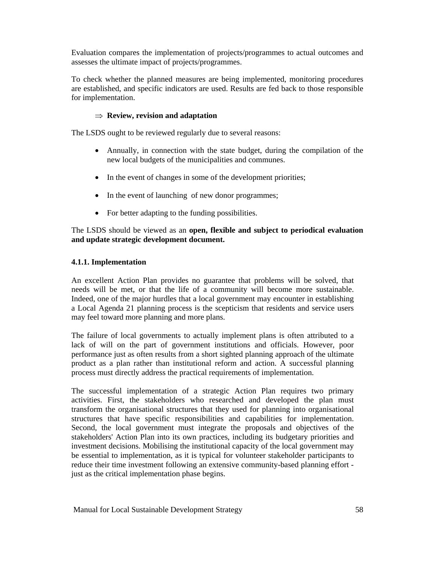Evaluation compares the implementation of projects/programmes to actual outcomes and assesses the ultimate impact of projects/programmes.

To check whether the planned measures are being implemented, monitoring procedures are established, and specific indicators are used. Results are fed back to those responsible for implementation.

# ⇒ **Review, revision and adaptation**

The LSDS ought to be reviewed regularly due to several reasons:

- Annually, in connection with the state budget, during the compilation of the new local budgets of the municipalities and communes.
- In the event of changes in some of the development priorities;
- In the event of launching of new donor programmes;
- For better adapting to the funding possibilities.

The LSDS should be viewed as an **open, flexible and subject to periodical evaluation and update strategic development document.**

# **4.1.1. Implementation**

An excellent Action Plan provides no guarantee that problems will be solved, that needs will be met, or that the life of a community will become more sustainable. Indeed, one of the major hurdles that a local government may encounter in establishing a Local Agenda 21 planning process is the scepticism that residents and service users may feel toward more planning and more plans.

The failure of local governments to actually implement plans is often attributed to a lack of will on the part of government institutions and officials. However, poor performance just as often results from a short sighted planning approach of the ultimate product as a plan rather than institutional reform and action. A successful planning process must directly address the practical requirements of implementation.

The successful implementation of a strategic Action Plan requires two primary activities. First, the stakeholders who researched and developed the plan must transform the organisational structures that they used for planning into organisational structures that have specific responsibilities and capabilities for implementation. Second, the local government must integrate the proposals and objectives of the stakeholders' Action Plan into its own practices, including its budgetary priorities and investment decisions. Mobilising the institutional capacity of the local government may be essential to implementation, as it is typical for volunteer stakeholder participants to reduce their time investment following an extensive community-based planning effort just as the critical implementation phase begins.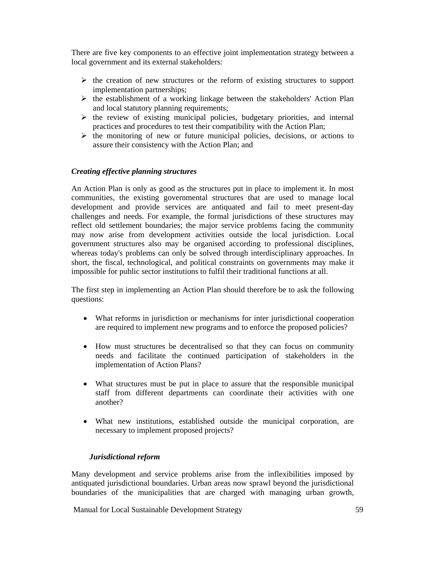There are five key components to an effective joint implementation strategy between a local government and its external stakeholders:

- $\triangleright$  the creation of new structures or the reform of existing structures to support implementation partnerships;
- $\triangleright$  the establishment of a working linkage between the stakeholders' Action Plan and local statutory planning requirements;
- $\triangleright$  the review of existing municipal policies, budgetary priorities, and internal practices and procedures to test their compatibility with the Action Plan;
- $\triangleright$  the monitoring of new or future municipal policies, decisions, or actions to assure their consistency with the Action Plan; and

# *Creating effective planning structures*

An Action Plan is only as good as the structures put in place to implement it. In most communities, the existing governmental structures that are used to manage local development and provide services are antiquated and fail to meet present-day challenges and needs. For example, the formal jurisdictions of these structures may reflect old settlement boundaries; the major service problems facing the community may now arise from development activities outside the local jurisdiction. Local government structures also may be organised according to professional disciplines, whereas today's problems can only be solved through interdisciplinary approaches. In short, the fiscal, technological, and political constraints on governments may make it impossible for public sector institutions to fulfil their traditional functions at all.

The first step in implementing an Action Plan should therefore be to ask the following questions:

- What reforms in jurisdiction or mechanisms for inter jurisdictional cooperation are required to implement new programs and to enforce the proposed policies?
- How must structures be decentralised so that they can focus on community needs and facilitate the continued participation of stakeholders in the implementation of Action Plans?
- What structures must be put in place to assure that the responsible municipal staff from different departments can coordinate their activities with one another?
- What new institutions, established outside the municipal corporation, are necessary to implement proposed projects?

#### *Jurisdictional reform*

Many development and service problems arise from the inflexibilities imposed by antiquated jurisdictional boundaries. Urban areas now sprawl beyond the jurisdictional boundaries of the municipalities that are charged with managing urban growth,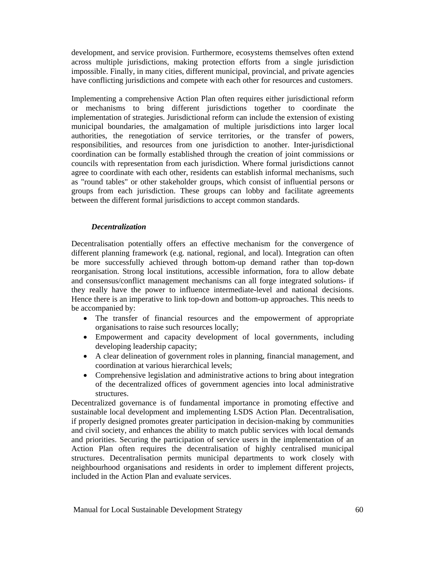development, and service provision. Furthermore, ecosystems themselves often extend across multiple jurisdictions, making protection efforts from a single jurisdiction impossible. Finally, in many cities, different municipal, provincial, and private agencies have conflicting jurisdictions and compete with each other for resources and customers.

Implementing a comprehensive Action Plan often requires either jurisdictional reform or mechanisms to bring different jurisdictions together to coordinate the implementation of strategies. Jurisdictional reform can include the extension of existing municipal boundaries, the amalgamation of multiple jurisdictions into larger local authorities, the renegotiation of service territories, or the transfer of powers, responsibilities, and resources from one jurisdiction to another. Inter-jurisdictional coordination can be formally established through the creation of joint commissions or councils with representation from each jurisdiction. Where formal jurisdictions cannot agree to coordinate with each other, residents can establish informal mechanisms, such as "round tables" or other stakeholder groups, which consist of influential persons or groups from each jurisdiction. These groups can lobby and facilitate agreements between the different formal jurisdictions to accept common standards.

#### *Decentralization*

Decentralisation potentially offers an effective mechanism for the convergence of different planning framework (e.g. national, regional, and local). Integration can often be more successfully achieved through bottom-up demand rather than top-down reorganisation. Strong local institutions, accessible information, fora to allow debate and consensus/conflict management mechanisms can all forge integrated solutions- if they really have the power to influence intermediate-level and national decisions. Hence there is an imperative to link top-down and bottom-up approaches. This needs to be accompanied by:

- The transfer of financial resources and the empowerment of appropriate organisations to raise such resources locally;
- Empowerment and capacity development of local governments, including developing leadership capacity;
- A clear delineation of government roles in planning, financial management, and coordination at various hierarchical levels;
- Comprehensive legislation and administrative actions to bring about integration of the decentralized offices of government agencies into local administrative structures.

Decentralized governance is of fundamental importance in promoting effective and sustainable local development and implementing LSDS Action Plan. Decentralisation, if properly designed promotes greater participation in decision-making by communities and civil society, and enhances the ability to match public services with local demands and priorities. Securing the participation of service users in the implementation of an Action Plan often requires the decentralisation of highly centralised municipal structures. Decentralisation permits municipal departments to work closely with neighbourhood organisations and residents in order to implement different projects, included in the Action Plan and evaluate services.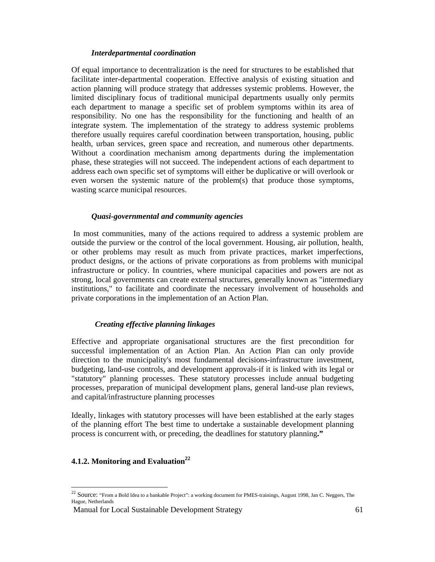#### *Interdepartmental coordination*

Of equal importance to decentralization is the need for structures to be established that facilitate inter-departmental cooperation. Effective analysis of existing situation and action planning will produce strategy that addresses systemic problems. However, the limited disciplinary focus of traditional municipal departments usually only permits each department to manage a specific set of problem symptoms within its area of responsibility. No one has the responsibility for the functioning and health of an integrate system. The implementation of the strategy to address systemic problems therefore usually requires careful coordination between transportation, housing, public health, urban services, green space and recreation, and numerous other departments. Without a coordination mechanism among departments during the implementation phase, these strategies will not succeed. The independent actions of each department to address each own specific set of symptoms will either be duplicative or will overlook or even worsen the systemic nature of the problem(s) that produce those symptoms, wasting scarce municipal resources.

#### *Quasi-governmental and community agencies*

 In most communities, many of the actions required to address a systemic problem are outside the purview or the control of the local government. Housing, air pollution, health, or other problems may result as much from private practices, market imperfections, product designs, or the actions of private corporations as from problems with municipal infrastructure or policy. In countries, where municipal capacities and powers are not as strong, local governments can create external structures, generally known as "intermediary institutions," to facilitate and coordinate the necessary involvement of households and private corporations in the implementation of an Action Plan.

#### *Creating effective planning linkages*

Effective and appropriate organisational structures are the first precondition for successful implementation of an Action Plan. An Action Plan can only provide direction to the municipality's most fundamental decisions-infrastructure investment, budgeting, land-use controls, and development approvals-if it is linked with its legal or "statutory" planning processes. These statutory processes include annual budgeting processes, preparation of municipal development plans, general land-use plan reviews, and capital/infrastructure planning processes

Ideally, linkages with statutory processes will have been established at the early stages of the planning effort The best time to undertake a sustainable development planning process is concurrent with, or preceding, the deadlines for statutory planning**."**

# **4.1.2. Monitoring and Evaluation**<sup>22</sup>

 $\overline{a}$ 

<sup>&</sup>lt;sup>22</sup> Source: "From a Bold Idea to a bankable Project": a working document for PMES-trainings, August 1998, Jan C. Neggers, The Hague, Netherlands

Manual for Local Sustainable Development Strategy 61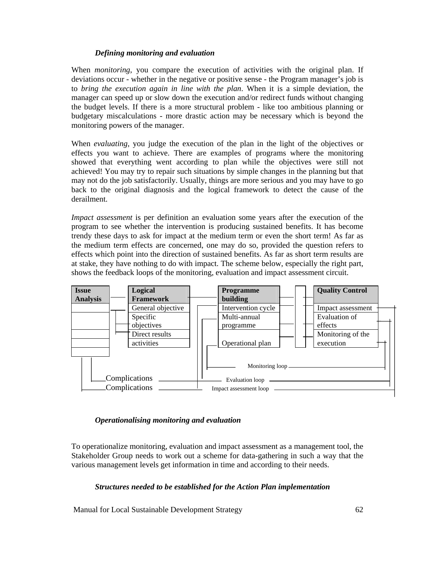# *Defining monitoring and evaluation*

When *monitoring*, you compare the execution of activities with the original plan. If deviations occur - whether in the negative or positive sense - the Program manager's job is to *bring the execution again in line with the plan*. When it is a simple deviation, the manager can speed up or slow down the execution and/or redirect funds without changing the budget levels. If there is a more structural problem - like too ambitious planning or budgetary miscalculations - more drastic action may be necessary which is beyond the monitoring powers of the manager.

When *evaluating*, you judge the execution of the plan in the light of the objectives or effects you want to achieve. There are examples of programs where the monitoring showed that everything went according to plan while the objectives were still not achieved! You may try to repair such situations by simple changes in the planning but that may not do the job satisfactorily. Usually, things are more serious and you may have to go back to the original diagnosis and the logical framework to detect the cause of the derailment.

*Impact assessment* is per definition an evaluation some years after the execution of the program to see whether the intervention is producing sustained benefits. It has become trendy these days to ask for impact at the medium term or even the short term! As far as the medium term effects are concerned, one may do so, provided the question refers to effects which point into the direction of sustained benefits. As far as short term results are at stake, they have nothing to do with impact. The scheme below, especially the right part, shows the feedback loops of the monitoring, evaluation and impact assessment circuit.



#### *Operationalising monitoring and evaluation*

To operationalize monitoring, evaluation and impact assessment as a management tool, the Stakeholder Group needs to work out a scheme for data-gathering in such a way that the various management levels get information in time and according to their needs.

#### *Structures needed to be established for the Action Plan implementation*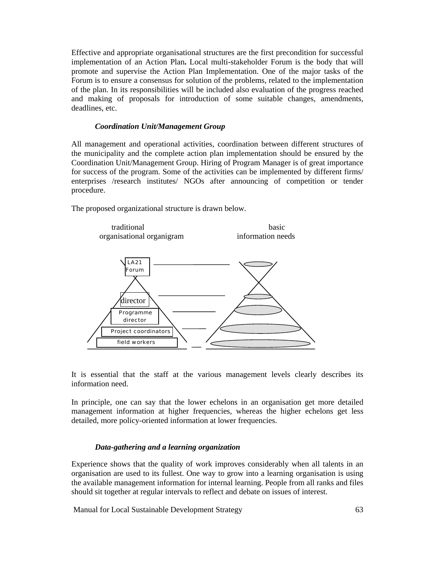Effective and appropriate organisational structures are the first precondition for successful implementation of an Action Plan**.** Local multi-stakeholder Forum is the body that will promote and supervise the Action Plan Implementation. One of the major tasks of the Forum is to ensure a consensus for solution of the problems, related to the implementation of the plan. In its responsibilities will be included also evaluation of the progress reached and making of proposals for introduction of some suitable changes, amendments, deadlines, etc.

#### *Coordination Unit/Management Group*

All management and operational activities, coordination between different structures of the municipality and the complete action plan implementation should be ensured by the Coordination Unit/Management Group. Hiring of Program Manager is of great importance for success of the program. Some of the activities can be implemented by different firms/ enterprises /research institutes/ NGOs after announcing of competition or tender procedure.

The proposed organizational structure is drawn below.



It is essential that the staff at the various management levels clearly describes its information need.

In principle, one can say that the lower echelons in an organisation get more detailed management information at higher frequencies, whereas the higher echelons get less detailed, more policy-oriented information at lower frequencies.

#### *Data-gathering and a learning organization*

Experience shows that the quality of work improves considerably when all talents in an organisation are used to its fullest. One way to grow into a learning organisation is using the available management information for internal learning. People from all ranks and files should sit together at regular intervals to reflect and debate on issues of interest.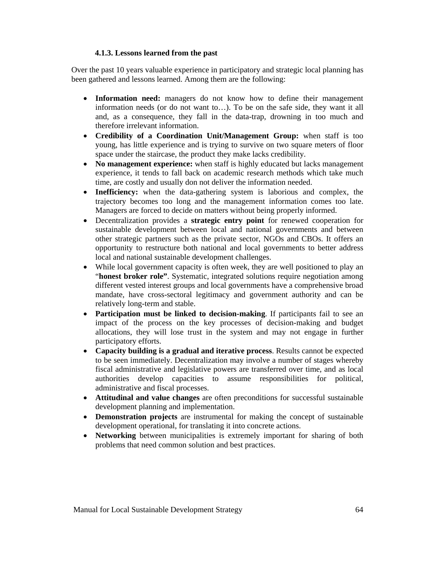#### **4.1.3. Lessons learned from the past**

Over the past 10 years valuable experience in participatory and strategic local planning has been gathered and lessons learned. Among them are the following:

- **Information need:** managers do not know how to define their management information needs (or do not want to…). To be on the safe side, they want it all and, as a consequence, they fall in the data-trap, drowning in too much and therefore irrelevant information.
- **Credibility of a Coordination Unit/Management Group:** when staff is too young, has little experience and is trying to survive on two square meters of floor space under the staircase, the product they make lacks credibility.
- **No management experience:** when staff is highly educated but lacks management experience, it tends to fall back on academic research methods which take much time, are costly and usually don not deliver the information needed.
- **Inefficiency:** when the data-gathering system is laborious and complex, the trajectory becomes too long and the management information comes too late. Managers are forced to decide on matters without being properly informed.
- Decentralization provides a **strategic entry point** for renewed cooperation for sustainable development between local and national governments and between other strategic partners such as the private sector, NGOs and CBOs. It offers an opportunity to restructure both national and local governments to better address local and national sustainable development challenges.
- While local government capacity is often week, they are well positioned to play an "**honest broker role"**. Systematic, integrated solutions require negotiation among different vested interest groups and local governments have a comprehensive broad mandate, have cross-sectoral legitimacy and government authority and can be relatively long-term and stable.
- **Participation must be linked to decision-making.** If participants fail to see an impact of the process on the key processes of decision-making and budget allocations, they will lose trust in the system and may not engage in further participatory efforts.
- **Capacity building is a gradual and iterative process**. Results cannot be expected to be seen immediately. Decentralization may involve a number of stages whereby fiscal administrative and legislative powers are transferred over time, and as local authorities develop capacities to assume responsibilities for political, administrative and fiscal processes.
- **Attitudinal and value changes** are often preconditions for successful sustainable development planning and implementation.
- **Demonstration projects** are instrumental for making the concept of sustainable development operational, for translating it into concrete actions.
- **Networking** between municipalities is extremely important for sharing of both problems that need common solution and best practices.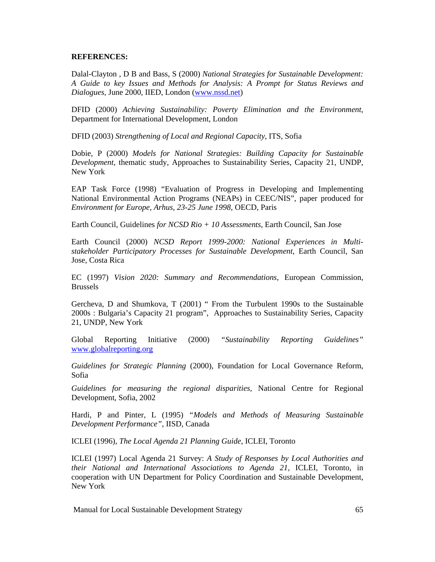#### **REFERENCES:**

Dalal-Clayton , D B and Bass, S (2000) *National Strategies for Sustainable Development: A Guide to key Issues and Methods for Analysis: A Prompt for Status Reviews and Dialogues,* June 2000, IIED, London (www.nssd.net)

DFID (2000) *Achieving Sustainability: Poverty Elimination and the Environment*, Department for International Development, London

DFID (2003) *Strengthening of Local and Regional Capacity*, ITS, Sofia

Dobie, P (2000) *Models for National Strategies: Building Capacity for Sustainable Development*, thematic study, Approaches to Sustainability Series, Capacity 21, UNDP, New York

EAP Task Force (1998) "Evaluation of Progress in Developing and Implementing National Environmental Action Programs (NEAPs) in CEEC/NIS", paper produced for *Environment for Europe, Arhus, 23-25 June 1998*, OECD, Paris

Earth Council, Guidelines *for NCSD Rio + 10 Assessments*, Earth Council, San Jose

Earth Council (2000) *NCSD Report 1999-2000: National Experiences in Multistakeholder Participatory Processes for Sustainable Development*, Earth Council, San Jose, Costa Rica

EC (1997) *Vision 2020: Summary and Recommendations*, European Commission, Brussels

Gercheva, D and Shumkova, T (2001) " From the Turbulent 1990s to the Sustainable 2000s : Bulgaria's Capacity 21 program", Approaches to Sustainability Series, Capacity 21, UNDP, New York

Global Reporting Initiative (2000) *"Sustainability Reporting Guidelines"* www.globalreporting.org

*Guidelines for Strategic Planning* (2000), Foundation for Local Governance Reform, Sofia

*Guidelines for measuring the regional disparities,* National Centre for Regional Development, Sofia, 2002

Hardi, P and Pinter, L (1995) *"Models and Methods of Measuring Sustainable Development Performance"*, IISD, Canada

ICLEI (1996), *The Local Agenda 21 Planning Guide*, ICLEI, Toronto

ICLEI (1997) Local Agenda 21 Survey: *A Study of Responses by Local Authorities and their National and International Associations to Agenda 21,* ICLEI, Toronto, in cooperation with UN Department for Policy Coordination and Sustainable Development, New York